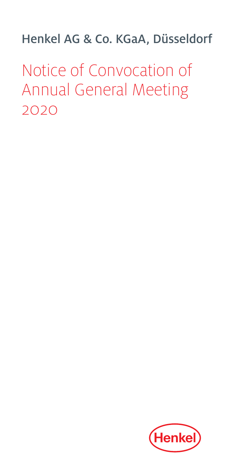Henkel AG & Co. KGaA, Düsseldorf

Notice of Convocation of Annual General Meeting 2020

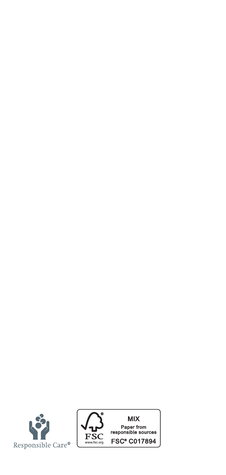

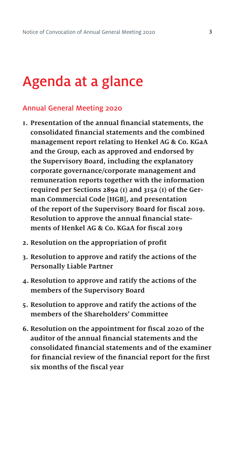## Agenda at a glance

#### Annual General Meeting 2020

- **1. Presentation of the annual financial statements, the consolidated financial statements and the combined management report relating to Henkel AG & Co. KGaA and the Group, each as approved and endorsed by the Supervisory Board, including the explanatory corporate governance/corporate management and remuneration reports together with the information required per Sections 289a (1) and 315a (1) of the German Commercial Code [HGB], and presentation of the report of the Supervisory Board for fiscal 2019. Resolution to approve the annual financial statements of Henkel AG & Co. KGaA for fiscal 2019**
- **2. Resolution on the appropriation of profit**
- **3. Resolution to approve and ratify the actions of the Personally Liable Partner**
- **4. Resolution to approve and ratify the actions of the members of the Supervisory Board**
- **5. Resolution to approve and ratify the actions of the members of the Shareholders' Committee**
- **6. Resolution on the appointment for fiscal 2020 of the auditor of the annual financial statements and the consolidated financial statements and of the examiner for financial review of the financial report for the first six months of the fiscal year**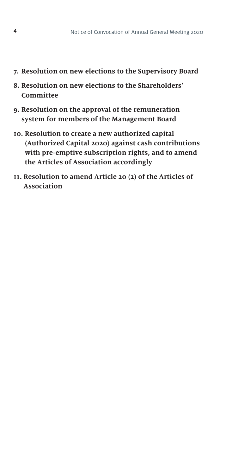- **7. Resolution on new elections to the Supervisory Board**
- **8. Resolution on new elections to the Shareholders' Committee**
- **9. Resolution on the approval of the remuneration system for members of the Management Board**
- **10. Resolution to create a new authorized capital (Authorized Capital 2020) against cash contributions with pre-emptive subscription rights, and to amend the Articles of Association accordingly**
- **11. Resolution to amend Article 20 (2) of the Articles of Association**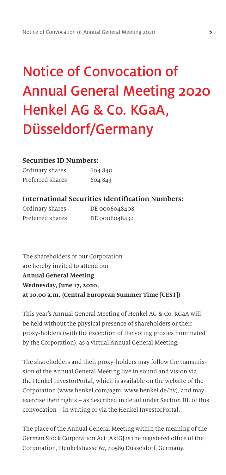# Notice of Convocation of Annual General Meeting 2020 Henkel AG & Co. KGaA, Düsseldorf/Germany

#### **Securities ID Numbers:**

| Ordinary shares  | 604 840 |
|------------------|---------|
| Preferred shares | 604 843 |

#### **International Securities Identification Numbers:**

| Ordinary shares  | DE 0006048408 |
|------------------|---------------|
| Preferred shares | DE 0006048432 |

The shareholders of our Corporation are hereby invited to attend our **Annual General Meeting Wednesday, June 17, 2020, at 10.00 a.m. (Central European Summer Time [CEST])**

This year's Annual General Meeting of Henkel AG & Co. KGaA will be held without the physical presence of shareholders or their proxy-holders (with the exception of the voting proxies nominated by the Corporation), as a virtual Annual General Meeting.

The shareholders and their proxy-holders may follow the transmission of the Annual General Meeting live in sound and vision via the Henkel InvestorPortal, which is available on the website of the Corporation (www.henkel.com/agm; www.henkel.de/hv), and may exercise their rights – as described in detail under Section III. of this convocation – in writing or via the Henkel InvestorPortal.

The place of the Annual General Meeting within the meaning of the German Stock Corporation Act [AktG] is the registered office of the Corporation, Henkelstrasse 67, 40589 Düsseldorf, Germany.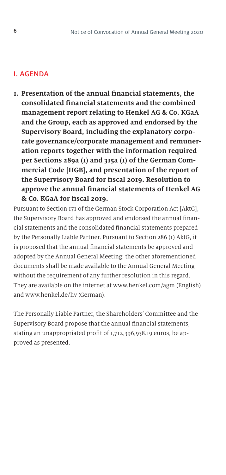#### I. AGENDA

**1. Presentation of the annual financial statements, the consolidated financial statements and the combined management report relating to Henkel AG & Co. KGaA and the Group, each as approved and endorsed by the Supervisory Board, including the explanatory corporate governance/corporate management and remuneration reports together with the information required per Sections 289a (1) and 315a (1) of the German Commercial Code [HGB], and presentation of the report of the Supervisory Board for fiscal 2019. Resolution to approve the annual financial statements of Henkel AG & Co. KGaA for fiscal 2019.**

Pursuant to Section 171 of the German Stock Corporation Act [AktG], the Supervisory Board has approved and endorsed the annual financial statements and the consolidated financial statements prepared by the Personally Liable Partner. Pursuant to Section 286 (1) AktG, it is proposed that the annual financial statements be approved and adopted by the Annual General Meeting; the other aforementioned documents shall be made available to the Annual General Meeting without the requirement of any further resolution in this regard. They are available on the internet at www.henkel.com/agm (English) and www.henkel.de/hv (German).

The Personally Liable Partner, the Shareholders' Committee and the Supervisory Board propose that the annual financial statements, stating an unappropriated profit of 1,712,396,938.19 euros, be approved as presented.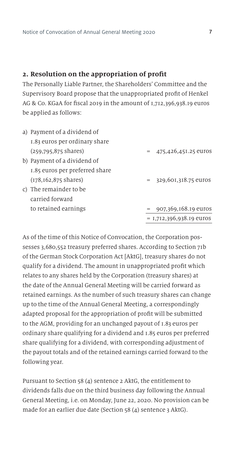#### **2. Resolution on the appropriation of profit**

The Personally Liable Partner, the Shareholders' Committee and the Supervisory Board propose that the unappropriated profit of Henkel AG & Co. KGaA for fiscal 2019 in the amount of 1,712,396,938.19 euros be applied as follows:

| a) Payment of a dividend of      |                            |
|----------------------------------|----------------------------|
| 1.83 euros per ordinary share    |                            |
| $(259,795,875 \text{ shares})$   | $= 475,426,451,25$ euros   |
| b) Payment of a dividend of      |                            |
| 1.85 euros per preferred share   |                            |
| $(178, 162, 875 \text{ shares})$ | $= 329,601,318.75$ euros   |
| c) The remainder to be           |                            |
| carried forward                  |                            |
| to retained earnings             | 907,369,168.19 euros       |
|                                  | $= 1,712,396,938.19$ euros |

As of the time of this Notice of Convocation, the Corporation possesses 3,680,552 treasury preferred shares. According to Section 71b of the German Stock Corporation Act [AktG], treasury shares do not qualify for a dividend. The amount in unappropriated profit which relates to any shares held by the Corporation (treasury shares) at the date of the Annual General Meeting will be carried forward as retained earnings. As the number of such treasury shares can change up to the time of the Annual General Meeting, a correspondingly adapted proposal for the appropriation of profit will be submitted to the AGM, providing for an unchanged payout of 1.83 euros per ordinary share qualifying for a dividend and 1.85 euros per preferred share qualifying for a dividend, with corresponding adjustment of the payout totals and of the retained earnings carried forward to the following year.

Pursuant to Section 58 (4) sentence 2 AktG, the entitlement to dividends falls due on the third business day following the Annual General Meeting, i.e. on Monday, June 22, 2020. No provision can be made for an earlier due date (Section 58 (4) sentence 3 AktG).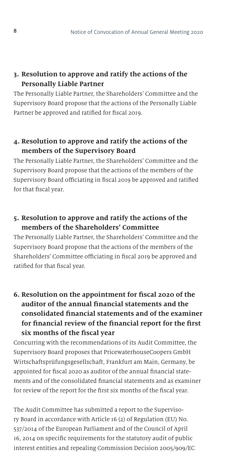## **3. Resolution to approve and ratify the actions of the Personally Liable Partner**

The Personally Liable Partner, the Shareholders' Committee and the Supervisory Board propose that the actions of the Personally Liable Partner be approved and ratified for fiscal 2019.

## **4. Resolution to approve and ratify the actions of the members of the Supervisory Board**

The Personally Liable Partner, the Shareholders' Committee and the Supervisory Board propose that the actions of the members of the Supervisory Board officiating in fiscal 2019 be approved and ratified for that fiscal year.

## **5. Resolution to approve and ratify the actions of the members of the Shareholders' Committee**

The Personally Liable Partner, the Shareholders' Committee and the Supervisory Board propose that the actions of the members of the Shareholders' Committee officiating in fiscal 2019 be approved and ratified for that fiscal year.

**6. Resolution on the appointment for fiscal 2020 of the auditor of the annual financial statements and the consolidated financial statements and of the examiner for financial review of the financial report for the first six months of the fiscal year**

Concurring with the recommendations of its Audit Committee, the Supervisory Board proposes that PricewaterhouseCoopers GmbH Wirtschaftsprüfungsgesellschaft, Frankfurt am Main, Germany, be appointed for fiscal 2020 as auditor of the annual financial statements and of the consolidated financial statements and as examiner for review of the report for the first six months of the fiscal year.

The Audit Committee has submitted a report to the Supervisory Board in accordance with Article 16 (2) of Regulation (EU) No. 537/2014 of the European Parliament and of the Council of April 16, 2014 on specific requirements for the statutory audit of public interest entities and repealing Commission Decision 2005/909/EC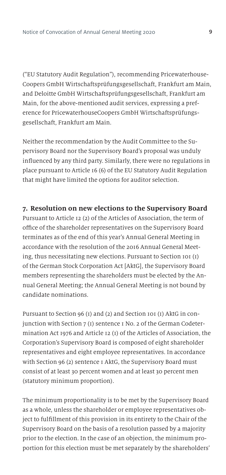("EU Statutory Audit Regulation"), recommending Pricewaterhouse-Coopers GmbH Wirtschaftsprüfungsgesellschaft, Frankfurt am Main, and Deloitte GmbH Wirtschaftsprüfungsgesellschaft, Frankfurt am Main, for the above-mentioned audit services, expressing a preference for PricewaterhouseCoopers GmbH Wirtschaftsprüfungsgesellschaft, Frankfurt am Main.

Neither the recommendation by the Audit Committee to the Supervisory Board nor the Supervisory Board's proposal was unduly influenced by any third party. Similarly, there were no regulations in place pursuant to Article 16 (6) of the EU Statutory Audit Regulation that might have limited the options for auditor selection.

**7. Resolution on new elections to the Supervisory Board** Pursuant to Article 12 (2) of the Articles of Association, the term of office of the shareholder representatives on the Supervisory Board terminates as of the end of this year's Annual General Meeting in accordance with the resolution of the 2016 Annual General Meeting, thus necessitating new elections. Pursuant to Section 101 (1) of the German Stock Corporation Act [AktG], the Supervisory Board members representing the shareholders must be elected by the An-

nual General Meeting; the Annual General Meeting is not bound by

candidate nominations.

Pursuant to Section 96 (1) and (2) and Section 101 (1) AktG in conjunction with Section 7 (1) sentence 1 No. 2 of the German Codetermination Act 1976 and Article 12 (1) of the Articles of Association, the Corporation's Supervisory Board is composed of eight shareholder representatives and eight employee representatives. In accordance with Section 96 (2) sentence 1 AktG, the Supervisory Board must consist of at least 30 percent women and at least 30 percent men (statutory minimum proportion).

The minimum proportionality is to be met by the Supervisory Board as a whole, unless the shareholder or employee representatives object to fulfillment of this provision in its entirety to the Chair of the Supervisory Board on the basis of a resolution passed by a majority prior to the election. In the case of an objection, the minimum proportion for this election must be met separately by the shareholders'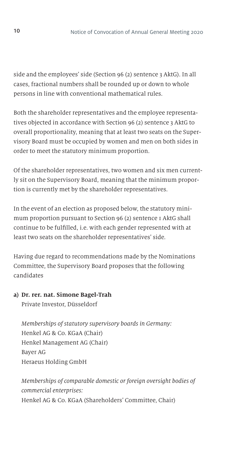side and the employees' side (Section 96 (2) sentence 3 AktG). In all cases, fractional numbers shall be rounded up or down to whole persons in line with conventional mathematical rules.

Both the shareholder representatives and the employee representatives objected in accordance with Section 96 (2) sentence 3 AktG to overall proportionality, meaning that at least two seats on the Supervisory Board must be occupied by women and men on both sides in order to meet the statutory minimum proportion.

Of the shareholder representatives, two women and six men currently sit on the Supervisory Board, meaning that the minimum proportion is currently met by the shareholder representatives.

In the event of an election as proposed below, the statutory minimum proportion pursuant to Section 96 (2) sentence 1 AktG shall continue to be fulfilled, i.e. with each gender represented with at least two seats on the shareholder representatives' side.

Having due regard to recommendations made by the Nominations Committee, the Supervisory Board proposes that the following candidates

#### **a) Dr. rer. nat. Simone Bagel-Trah**

Private Investor, Düsseldorf

*Memberships of statutory supervisory boards in Germany:* Henkel AG & Co. KGaA (Chair) Henkel Management AG (Chair) Bayer AG Heraeus Holding GmbH

 *Memberships of comparable domestic or foreign oversight bodies of commercial enterprises:*  Henkel AG & Co. KGaA (Shareholders' Committee, Chair)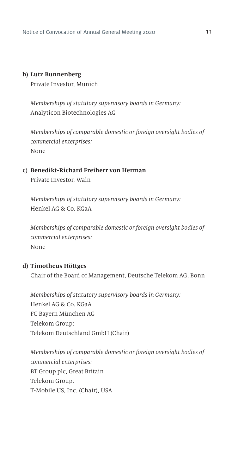#### **b) Lutz Bunnenberg**

Private Investor, Munich

*Memberships of statutory supervisory boards in Germany:* Analyticon Biotechnologies AG

 *Memberships of comparable domestic or foreign oversight bodies of commercial enterprises:* None

### **c) Benedikt-Richard Freiherr von Herman** Private Investor, Wain

*Memberships of statutory supervisory boards in Germany:* Henkel AG & Co. KGaA

 *Memberships of comparable domestic or foreign oversight bodies of commercial enterprises:* None

#### **d) Timotheus Höttges**

Chair of the Board of Management, Deutsche Telekom AG, Bonn

*Memberships of statutory supervisory boards in Germany:* Henkel AG & Co. KGaA FC Bayern München AG Telekom Group: Telekom Deutschland GmbH (Chair)

 *Memberships of comparable domestic or foreign oversight bodies of commercial enterprises:*  BT Group plc, Great Britain Telekom Group: T-Mobile US, Inc. (Chair), USA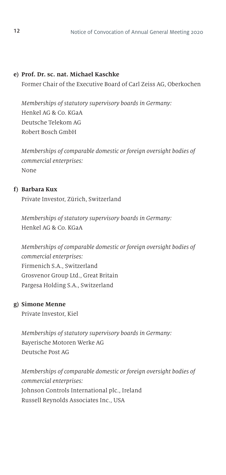#### **e) Prof. Dr. sc. nat. Michael Kaschke**

Former Chair of the Executive Board of Carl Zeiss AG, Oberkochen

*Memberships of statutory supervisory boards in Germany:* Henkel AG & Co. KGaA Deutsche Telekom AG Robert Bosch GmbH

 *Memberships of comparable domestic or foreign oversight bodies of commercial enterprises:*  None

#### **f) Barbara Kux**

Private Investor, Zürich, Switzerland

*Memberships of statutory supervisory boards in Germany:* Henkel AG & Co. KGaA

 *Memberships of comparable domestic or foreign oversight bodies of commercial enterprises:*  Firmenich S.A., Switzerland Grosvenor Group Ltd., Great Britain Pargesa Holding S.A., Switzerland

#### **g) Simone Menne**

Private Investor, Kiel

*Memberships of statutory supervisory boards in Germany:* Bayerische Motoren Werke AG Deutsche Post AG

 *Memberships of comparable domestic or foreign oversight bodies of commercial enterprises:*  Johnson Controls International plc., Ireland Russell Reynolds Associates Inc., USA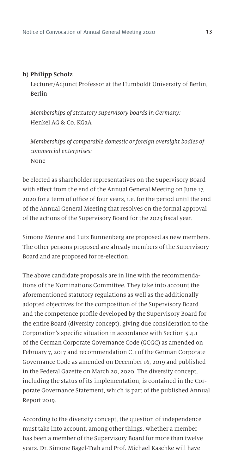#### **h) Philipp Scholz**

Lecturer/Adjunct Professor at the Humboldt University of Berlin, Berlin

*Memberships of statutory supervisory boards in Germany:* Henkel AG & Co. KGaA

 *Memberships of comparable domestic or foreign oversight bodies of commercial enterprises:*  None

be elected as shareholder representatives on the Supervisory Board with effect from the end of the Annual General Meeting on June 17, 2020 for a term of office of four years, i.e. for the period until the end of the Annual General Meeting that resolves on the formal approval of the actions of the Supervisory Board for the 2023 fiscal year.

Simone Menne and Lutz Bunnenberg are proposed as new members. The other persons proposed are already members of the Supervisory Board and are proposed for re-election.

The above candidate proposals are in line with the recommendations of the Nominations Committee. They take into account the aforementioned statutory regulations as well as the additionally adopted objectives for the composition of the Supervisory Board and the competence profile developed by the Supervisory Board for the entire Board (diversity concept), giving due consideration to the Corporation's specific situation in accordance with Section 5.4.1 of the German Corporate Governance Code (GCGC) as amended on February 7, 2017 and recommendation C.1 of the German Corporate Governance Code as amended on December 16, 2019 and published in the Federal Gazette on March 20, 2020. The diversity concept, including the status of its implementation, is contained in the Corporate Governance Statement, which is part of the published Annual Report 2019.

According to the diversity concept, the question of independence must take into account, among other things, whether a member has been a member of the Supervisory Board for more than twelve years. Dr. Simone Bagel-Trah and Prof. Michael Kaschke will have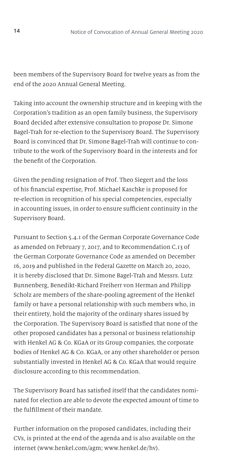been members of the Supervisory Board for twelve years as from the end of the 2020 Annual General Meeting.

Taking into account the ownership structure and in keeping with the Corporation's tradition as an open family business, the Supervisory Board decided after extensive consultation to propose Dr. Simone Bagel-Trah for re-election to the Supervisory Board. The Supervisory Board is convinced that Dr. Simone Bagel-Trah will continue to contribute to the work of the Supervisory Board in the interests and for the benefit of the Corporation.

Given the pending resignation of Prof. Theo Siegert and the loss of his financial expertise, Prof. Michael Kaschke is proposed for re-election in recognition of his special competencies, especially in accounting issues, in order to ensure sufficient continuity in the Supervisory Board.

Pursuant to Section 5.4.1 of the German Corporate Governance Code as amended on February 7, 2017, and to Recommendation C.13 of the German Corporate Governance Code as amended on December 16, 2019 and published in the Federal Gazette on March 20, 2020, it is hereby disclosed that Dr. Simone Bagel-Trah and Messrs. Lutz Bunnenberg, Benedikt-Richard Freiherr von Herman and Philipp Scholz are members of the share-pooling agreement of the Henkel family or have a personal relationship with such members who, in their entirety, hold the majority of the ordinary shares issued by the Corporation. The Supervisory Board is satisfied that none of the other proposed candidates has a personal or business relationship with Henkel AG & Co. KGaA or its Group companies, the corporate bodies of Henkel AG & Co. KGaA, or any other shareholder or person substantially invested in Henkel AG & Co. KGaA that would require disclosure according to this recommendation.

The Supervisory Board has satisfied itself that the candidates nominated for election are able to devote the expected amount of time to the fulfillment of their mandate.

Further information on the proposed candidates, including their CVs, is printed at the end of the agenda and is also available on the internet (www.henkel.com/agm; www.henkel.de/hv).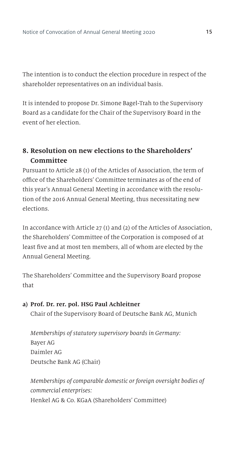The intention is to conduct the election procedure in respect of the shareholder representatives on an individual basis.

It is intended to propose Dr. Simone Bagel-Trah to the Supervisory Board as a candidate for the Chair of the Supervisory Board in the event of her election.

## **8. Resolution on new elections to the Shareholders' Committee**

Pursuant to Article 28 (1) of the Articles of Association, the term of office of the Shareholders' Committee terminates as of the end of this year's Annual General Meeting in accordance with the resolution of the 2016 Annual General Meeting, thus necessitating new elections.

In accordance with Article 27 (1) and (2) of the Articles of Association, the Shareholders' Committee of the Corporation is composed of at least five and at most ten members, all of whom are elected by the Annual General Meeting.

The Shareholders' Committee and the Supervisory Board propose that

#### **a) Prof. Dr. rer. pol. HSG Paul Achleitner**

Chair of the Supervisory Board of Deutsche Bank AG, Munich

 *Memberships of statutory supervisory boards in Germany:* Bayer AG Daimler AG Deutsche Bank AG (Chair)

 *Memberships of comparable domestic or foreign oversight bodies of commercial enterprises:*  Henkel AG & Co. KGaA (Shareholders' Committee)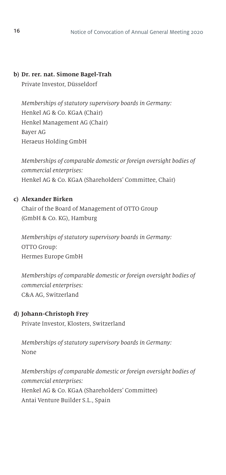#### **b) Dr. rer. nat. Simone Bagel-Trah**

Private Investor, Düsseldorf

*Memberships of statutory supervisory boards in Germany:* Henkel AG & Co. KGaA (Chair) Henkel Management AG (Chair) Bayer AG Heraeus Holding GmbH

 *Memberships of comparable domestic or foreign oversight bodies of commercial enterprises:*  Henkel AG & Co. KGaA (Shareholders' Committee, Chair)

#### **c) Alexander Birken**

Chair of the Board of Management of OTTO Group (GmbH & Co. KG), Hamburg

*Memberships of statutory supervisory boards in Germany:* OTTO Group: Hermes Europe GmbH

 *Memberships of comparable domestic or foreign oversight bodies of commercial enterprises:*  C&A AG, Switzerland

#### **d) Johann-Christoph Frey**

Private Investor, Klosters, Switzerland

*Memberships of statutory supervisory boards in Germany:* None

 *Memberships of comparable domestic or foreign oversight bodies of commercial enterprises:*  Henkel AG & Co. KGaA (Shareholders' Committee) Antai Venture Builder S.L., Spain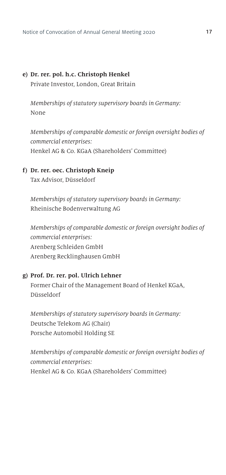#### **e) Dr. rer. pol. h.c. Christoph Henkel**

Private Investor, London, Great Britain

*Memberships of statutory supervisory boards in Germany:* None

 *Memberships of comparable domestic or foreign oversight bodies of commercial enterprises:*  Henkel AG & Co. KGaA (Shareholders' Committee)

#### **f) Dr. rer. oec. Christoph Kneip**

Tax Advisor, Düsseldorf

*Memberships of statutory supervisory boards in Germany:* Rheinische Bodenverwaltung AG

 *Memberships of comparable domestic or foreign oversight bodies of commercial enterprises:*  Arenberg Schleiden GmbH Arenberg Recklinghausen GmbH

#### **g) Prof. Dr. rer. pol. Ulrich Lehner**

Former Chair of the Management Board of Henkel KGaA, Düsseldorf

*Memberships of statutory supervisory boards in Germany:* Deutsche Telekom AG (Chair) Porsche Automobil Holding SE

 *Memberships of comparable domestic or foreign oversight bodies of commercial enterprises:*  Henkel AG & Co. KGaA (Shareholders' Committee)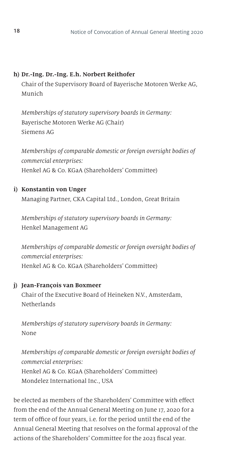#### **h) Dr.-Ing. Dr.-Ing. E.h. Norbert Reithofer**

Chair of the Supervisory Board of Bayerische Motoren Werke AG, Munich

*Memberships of statutory supervisory boards in Germany:* Bayerische Motoren Werke AG (Chair) Siemens AG

 *Memberships of comparable domestic or foreign oversight bodies of commercial enterprises:*  Henkel AG & Co. KGaA (Shareholders' Committee)

**i) Konstantin von Unger**  Managing Partner, CKA Capital Ltd., London, Great Britain

*Memberships of statutory supervisory boards in Germany:* Henkel Management AG

 *Memberships of comparable domestic or foreign oversight bodies of commercial enterprises:*  Henkel AG & Co. KGaA (Shareholders' Committee)

#### **j) Jean-François van Boxmeer**

Chair of the Executive Board of Heineken N.V., Amsterdam, Netherlands

*Memberships of statutory supervisory boards in Germany:* None

 *Memberships of comparable domestic or foreign oversight bodies of commercial enterprises:*  Henkel AG & Co. KGaA (Shareholders' Committee) Mondelez International Inc., USA

be elected as members of the Shareholders' Committee with effect from the end of the Annual General Meeting on June 17, 2020 for a term of office of four years, i.e. for the period until the end of the Annual General Meeting that resolves on the formal approval of the actions of the Shareholders' Committee for the 2023 fiscal year.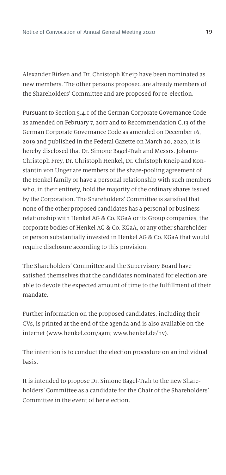Alexander Birken and Dr. Christoph Kneip have been nominated as new members. The other persons proposed are already members of the Shareholders' Committee and are proposed for re-election.

Pursuant to Section 5.4.1 of the German Corporate Governance Code as amended on February 7, 2017 and to Recommendation C.13 of the German Corporate Governance Code as amended on December 16, 2019 and published in the Federal Gazette on March 20, 2020, it is hereby disclosed that Dr. Simone Bagel-Trah and Messrs. Johann-Christoph Frey, Dr. Christoph Henkel, Dr. Christoph Kneip and Konstantin von Unger are members of the share-pooling agreement of the Henkel family or have a personal relationship with such members who, in their entirety, hold the majority of the ordinary shares issued by the Corporation. The Shareholders' Committee is satisfied that none of the other proposed candidates has a personal or business relationship with Henkel AG & Co. KGaA or its Group companies, the corporate bodies of Henkel AG & Co. KGaA, or any other shareholder or person substantially invested in Henkel AG & Co. KGaA that would require disclosure according to this provision.

The Shareholders' Committee and the Supervisory Board have satisfied themselves that the candidates nominated for election are able to devote the expected amount of time to the fulfillment of their mandate.

Further information on the proposed candidates, including their CVs, is printed at the end of the agenda and is also available on the internet (www.henkel.com/agm; www.henkel.de/hv).

The intention is to conduct the election procedure on an individual basis.

It is intended to propose Dr. Simone Bagel-Trah to the new Shareholders' Committee as a candidate for the Chair of the Shareholders' Committee in the event of her election.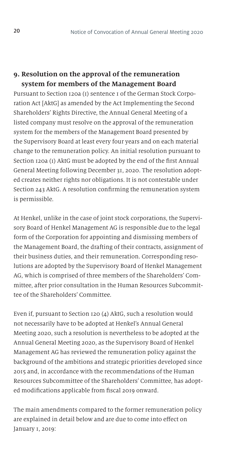## **9. Resolution on the approval of the remuneration system for members of the Management Board**

Pursuant to Section 120a (1) sentence 1 of the German Stock Corporation Act [AktG] as amended by the Act Implementing the Second Shareholders' Rights Directive, the Annual General Meeting of a listed company must resolve on the approval of the remuneration system for the members of the Management Board presented by the Supervisory Board at least every four years and on each material change to the remuneration policy. An initial resolution pursuant to Section 120a (1) AktG must be adopted by the end of the first Annual General Meeting following December 31, 2020. The resolution adopted creates neither rights nor obligations. It is not contestable under Section 243 AktG. A resolution confirming the remuneration system is permissible.

At Henkel, unlike in the case of joint stock corporations, the Supervisory Board of Henkel Management AG is responsible due to the legal form of the Corporation for appointing and dismissing members of the Management Board, the drafting of their contracts, assignment of their business duties, and their remuneration. Corresponding resolutions are adopted by the Supervisory Board of Henkel Management AG, which is comprised of three members of the Shareholders' Committee, after prior consultation in the Human Resources Subcommittee of the Shareholders' Committee.

Even if, pursuant to Section 120 (4) AktG, such a resolution would not necessarily have to be adopted at Henkel's Annual General Meeting 2020, such a resolution is nevertheless to be adopted at the Annual General Meeting 2020, as the Supervisory Board of Henkel Management AG has reviewed the remuneration policy against the background of the ambitions and strategic priorities developed since 2015 and, in accordance with the recommendations of the Human Resources Subcommittee of the Shareholders' Committee, has adopted modifications applicable from fiscal 2019 onward.

The main amendments compared to the former remuneration policy are explained in detail below and are due to come into effect on January 1, 2019: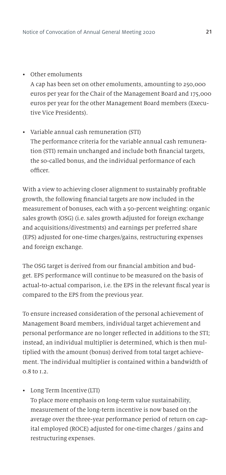• Other emoluments

A cap has been set on other emoluments, amounting to 250,000 euros per year for the Chair of the Management Board and 175,000 euros per year for the other Management Board members (Executive Vice Presidents).

• Variable annual cash remuneration (STI) The performance criteria for the variable annual cash remuneration (STI) remain unchanged and include both financial targets, the so-called bonus, and the individual performance of each officer.

With a view to achieving closer alignment to sustainably profitable growth, the following financial targets are now included in the measurement of bonuses, each with a 50-percent weighting: organic sales growth (OSG) (i.e. sales growth adjusted for foreign exchange and acquisitions/divestments) and earnings per preferred share (EPS) adjusted for one-time charges/gains, restructuring expenses and foreign exchange.

The OSG target is derived from our financial ambition and budget. EPS performance will continue to be measured on the basis of actual-to-actual comparison, i.e. the EPS in the relevant fiscal year is compared to the EPS from the previous year.

To ensure increased consideration of the personal achievement of Management Board members, individual target achievement and personal performance are no longer reflected in additions to the STI; instead, an individual multiplier is determined, which is then multiplied with the amount (bonus) derived from total target achievement. The individual multiplier is contained within a bandwidth of 0.8 to 1.2.

• Long Term Incentive (LTI)

To place more emphasis on long-term value sustainability, measurement of the long-term incentive is now based on the average over the three-year performance period of return on capital employed (ROCE) adjusted for one-time charges / gains and restructuring expenses.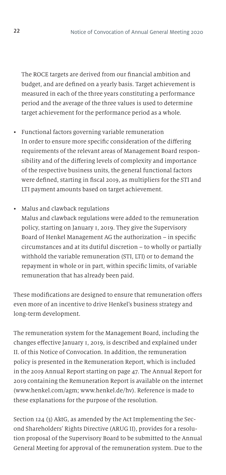The ROCE targets are derived from our financial ambition and budget, and are defined on a yearly basis. Target achievement is measured in each of the three years constituting a performance period and the average of the three values is used to determine target achievement for the performance period as a whole.

• Functional factors governing variable remuneration In order to ensure more specific consideration of the differing requirements of the relevant areas of Management Board responsibility and of the differing levels of complexity and importance of the respective business units, the general functional factors were defined, starting in fiscal 2019, as multipliers for the STI and LTI payment amounts based on target achievement.

#### • Malus and clawback regulations

Malus and clawback regulations were added to the remuneration policy, starting on January 1, 2019. They give the Supervisory Board of Henkel Management AG the authorization – in specific circumstances and at its dutiful discretion – to wholly or partially withhold the variable remuneration (STI, LTI) or to demand the repayment in whole or in part, within specific limits, of variable remuneration that has already been paid.

These modifications are designed to ensure that remuneration offers even more of an incentive to drive Henkel's business strategy and long-term development.

The remuneration system for the Management Board, including the changes effective January 1, 2019, is described and explained under II. of this Notice of Convocation. In addition, the remuneration policy is presented in the Remuneration Report, which is included in the 2019 Annual Report starting on page 47. The Annual Report for 2019 containing the Remuneration Report is available on the internet (www.henkel.com/agm; www.henkel.de/hv). Reference is made to these explanations for the purpose of the resolution.

Section 124 (3) AktG, as amended by the Act Implementing the Second Shareholders' Rights Directive (ARUG II), provides for a resolution proposal of the Supervisory Board to be submitted to the Annual General Meeting for approval of the remuneration system. Due to the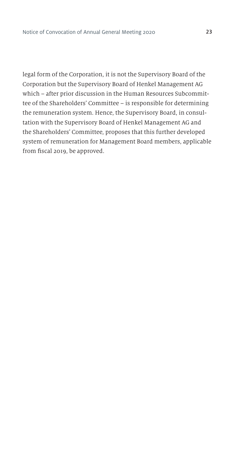legal form of the Corporation, it is not the Supervisory Board of the Corporation but the Supervisory Board of Henkel Management AG which – after prior discussion in the Human Resources Subcommittee of the Shareholders' Committee – is responsible for determining the remuneration system. Hence, the Supervisory Board, in consultation with the Supervisory Board of Henkel Management AG and the Shareholders' Committee, proposes that this further developed system of remuneration for Management Board members, applicable from fiscal 2019, be approved.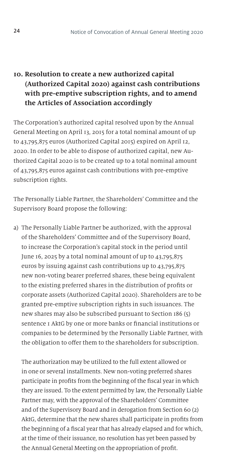## **10. Resolution to create a new authorized capital (Authorized Capital 2020) against cash contributions with pre-emptive subscription rights, and to amend the Articles of Association accordingly**

The Corporation's authorized capital resolved upon by the Annual General Meeting on April 13, 2015 for a total nominal amount of up to 43,795,875 euros (Authorized Capital 2015) expired on April 12, 2020. In order to be able to dispose of authorized capital, new Authorized Capital 2020 is to be created up to a total nominal amount of 43,795,875 euros against cash contributions with pre-emptive subscription rights.

The Personally Liable Partner, the Shareholders' Committee and the Supervisory Board propose the following:

a) The Personally Liable Partner be authorized, with the approval of the Shareholders' Committee and of the Supervisory Board, to increase the Corporation's capital stock in the period until June 16, 2025 by a total nominal amount of up to 43,795,875 euros by issuing against cash contributions up to 43,795,875 new non-voting bearer preferred shares, these being equivalent to the existing preferred shares in the distribution of profits or corporate assets (Authorized Capital 2020). Shareholders are to be granted pre-emptive subscription rights in such issuances. The new shares may also be subscribed pursuant to Section 186 (5) sentence 1 AktG by one or more banks or financial institutions or companies to be determined by the Personally Liable Partner, with the obligation to offer them to the shareholders for subscription.

 The authorization may be utilized to the full extent allowed or in one or several installments. New non-voting preferred shares participate in profits from the beginning of the fiscal year in which they are issued. To the extent permitted by law, the Personally Liable Partner may, with the approval of the Shareholders' Committee and of the Supervisory Board and in derogation from Section 60 (2) AktG, determine that the new shares shall participate in profits from the beginning of a fiscal year that has already elapsed and for which, at the time of their issuance, no resolution has yet been passed by the Annual General Meeting on the appropriation of profit.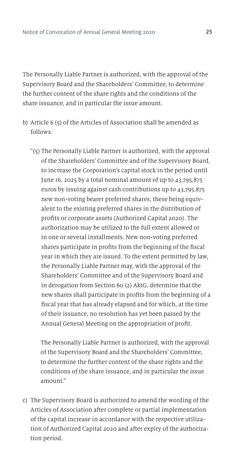The Personally Liable Partner is authorized, with the approval of the Supervisory Board and the Shareholders' Committee, to determine the further content of the share rights and the conditions of the share issuance, and in particular the issue amount.

- b) Article 6 (5) of the Articles of Association shall be amended as follows:
	- "(5) The Personally Liable Partner is authorized, with the approval of the Shareholders' Committee and of the Supervisory Board, to increase the Corporation's capital stock in the period until June 16, 2025 by a total nominal amount of up to 43,795,875 euros by issuing against cash contributions up to 43,795,875 new non-voting bearer preferred shares, these being equivalent to the existing preferred shares in the distribution of profits or corporate assets (Authorized Capital 2020). The authorization may be utilized to the full extent allowed or in one or several installments. New non-voting preferred shares participate in profits from the beginning of the fiscal year in which they are issued. To the extent permitted by law, the Personally Liable Partner may, with the approval of the Shareholders' Committee and of the Supervisory Board and in derogation from Section 60 (2) AktG, determine that the new shares shall participate in profits from the beginning of a fiscal year that has already elapsed and for which, at the time of their issuance, no resolution has yet been passed by the Annual General Meeting on the appropriation of profit.

 The Personally Liable Partner is authorized, with the approval of the Supervisory Board and the Shareholders' Committee, to determine the further content of the share rights and the conditions of the share issuance, and in particular the issue amount."

c) The Supervisory Board is authorized to amend the wording of the Articles of Association after complete or partial implementation of the capital increase in accordance with the respective utilization of Authorized Capital 2020 and after expiry of the authorization period.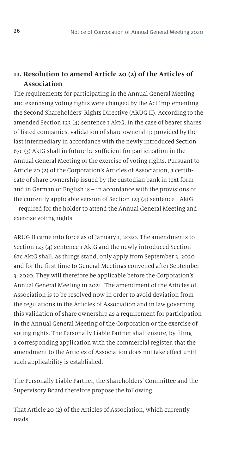## **11. Resolution to amend Article 20 (2) of the Articles of Association**

The requirements for participating in the Annual General Meeting and exercising voting rights were changed by the Act Implementing the Second Shareholders' Rights Directive (ARUG II). According to the amended Section 123 (4) sentence 1 AktG, in the case of bearer shares of listed companies, validation of share ownership provided by the last intermediary in accordance with the newly introduced Section 67c (3) AktG shall in future be sufficient for participation in the Annual General Meeting or the exercise of voting rights. Pursuant to Article 20 (2) of the Corporation's Articles of Association, a certificate of share ownership issued by the custodian bank in text form and in German or English is – in accordance with the provisions of the currently applicable version of Section 123 (4) sentence 1 AktG – required for the holder to attend the Annual General Meeting and exercise voting rights.

ARUG II came into force as of January 1, 2020. The amendments to Section 123 (4) sentence 1 AktG and the newly introduced Section 67c AktG shall, as things stand, only apply from September 3, 2020 and for the first time to General Meetings convened after September 3, 2020. They will therefore be applicable before the Corporation's Annual General Meeting in 2021. The amendment of the Articles of Association is to be resolved now in order to avoid deviation from the regulations in the Articles of Association and in law governing this validation of share ownership as a requirement for participation in the Annual General Meeting of the Corporation or the exercise of voting rights. The Personally Liable Partner shall ensure, by filing a corresponding application with the commercial register, that the amendment to the Articles of Association does not take effect until such applicability is established.

The Personally Liable Partner, the Shareholders' Committee and the Supervisory Board therefore propose the following:

That Article 20 (2) of the Articles of Association, which currently reads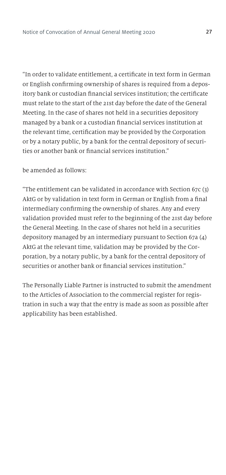"In order to validate entitlement, a certificate in text form in German or English confirming ownership of shares is required from a depository bank or custodian financial services institution; the certificate must relate to the start of the 21st day before the date of the General Meeting. In the case of shares not held in a securities depository managed by a bank or a custodian financial services institution at the relevant time, certification may be provided by the Corporation or by a notary public, by a bank for the central depository of securities or another bank or financial services institution."

#### be amended as follows:

"The entitlement can be validated in accordance with Section 67c (3) AktG or by validation in text form in German or English from a final intermediary confirming the ownership of shares. Any and every validation provided must refer to the beginning of the 21st day before the General Meeting. In the case of shares not held in a securities depository managed by an intermediary pursuant to Section 67a (4) AktG at the relevant time, validation may be provided by the Corporation, by a notary public, by a bank for the central depository of securities or another bank or financial services institution."

The Personally Liable Partner is instructed to submit the amendment to the Articles of Association to the commercial register for registration in such a way that the entry is made as soon as possible after applicability has been established.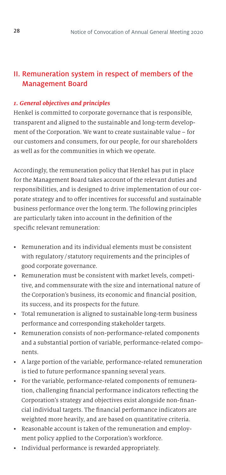## II. Remuneration system in respect of members of the Management Board

#### *1. General objectives and principles*

Henkel is committed to corporate governance that is responsible, transparent and aligned to the sustainable and long-term development of the Corporation. We want to create sustainable value – for our customers and consumers, for our people, for our shareholders as well as for the communities in which we operate.

Accordingly, the remuneration policy that Henkel has put in place for the Management Board takes account of the relevant duties and responsibilities, and is designed to drive implementation of our corporate strategy and to offer incentives for successful and sustainable business performance over the long term. The following principles are particularly taken into account in the definition of the specific relevant remuneration:

- Remuneration and its individual elements must be consistent with regulatory / statutory requirements and the principles of good corporate governance.
- Remuneration must be consistent with market levels, competitive, and commensurate with the size and international nature of the Corporation's business, its economic and financial position, its success, and its prospects for the future.
- Total remuneration is aligned to sustainable long-term business performance and corresponding stakeholder targets.
- Remuneration consists of non-performance-related components and a substantial portion of variable, performance-related components.
- A large portion of the variable, performance-related remuneration is tied to future performance spanning several years.
- For the variable, performance-related components of remuneration, challenging financial performance indicators reflecting the Corporation's strategy and objectives exist alongside non-financial individual targets. The financial performance indicators are weighted more heavily, and are based on quantitative criteria.
- Reasonable account is taken of the remuneration and employment policy applied to the Corporation's workforce.
- Individual performance is rewarded appropriately.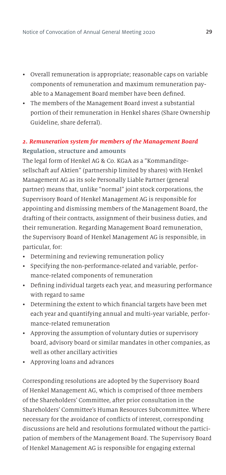- Overall remuneration is appropriate; reasonable caps on variable components of remuneration and maximum remuneration payable to a Management Board member have been defined.
- The members of the Management Board invest a substantial portion of their remuneration in Henkel shares (Share Ownership Guideline, share deferral).

## *2. Remuneration system for members of the Management Board* **Regulation, structure and amounts**

The legal form of Henkel AG & Co. KGaA as a "Kommanditgesellschaft auf Aktien" (partnership limited by shares) with Henkel Management AG as its sole Personally Liable Partner (general partner) means that, unlike "normal" joint stock corporations, the Supervisory Board of Henkel Management AG is responsible for appointing and dismissing members of the Management Board, the drafting of their contracts, assignment of their business duties, and their remuneration. Regarding Management Board remuneration, the Supervisory Board of Henkel Management AG is responsible, in particular, for:

- Determining and reviewing remuneration policy
- Specifying the non-performance-related and variable, performance-related components of remuneration
- Defining individual targets each year, and measuring performance with regard to same
- Determining the extent to which financial targets have been met each year and quantifying annual and multi-year variable, performance-related remuneration
- Approving the assumption of voluntary duties or supervisory board, advisory board or similar mandates in other companies, as well as other ancillary activities
- Approving loans and advances

Corresponding resolutions are adopted by the Supervisory Board of Henkel Management AG, which is comprised of three members of the Shareholders' Committee, after prior consultation in the Shareholders' Committee's Human Resources Subcommittee. Where necessary for the avoidance of conflicts of interest, corresponding discussions are held and resolutions formulated without the participation of members of the Management Board. The Supervisory Board of Henkel Management AG is responsible for engaging external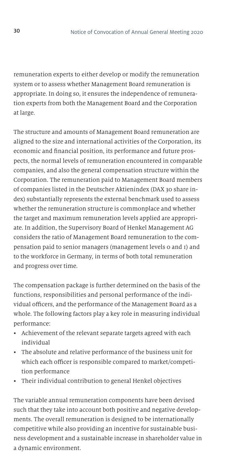remuneration experts to either develop or modify the remuneration system or to assess whether Management Board remuneration is appropriate. In doing so, it ensures the independence of remuneration experts from both the Management Board and the Corporation at large.

The structure and amounts of Management Board remuneration are aligned to the size and international activities of the Corporation, its economic and financial position, its performance and future prospects, the normal levels of remuneration encountered in comparable companies, and also the general compensation structure within the Corporation. The remuneration paid to Management Board members of companies listed in the Deutscher Aktienindex (DAX 30 share index) substantially represents the external benchmark used to assess whether the remuneration structure is commonplace and whether the target and maximum remuneration levels applied are appropriate. In addition, the Supervisory Board of Henkel Management AG considers the ratio of Management Board remuneration to the compensation paid to senior managers (management levels 0 and 1) and to the workforce in Germany, in terms of both total remuneration and progress over time.

The compensation package is further determined on the basis of the functions, responsibilities and personal performance of the individual officers, and the performance of the Management Board as a whole. The following factors play a key role in measuring individual performance:

- Achievement of the relevant separate targets agreed with each individual
- The absolute and relative performance of the business unit for which each officer is responsible compared to market/competition performance
- Their individual contribution to general Henkel objectives

The variable annual remuneration components have been devised such that they take into account both positive and negative developments. The overall remuneration is designed to be internationally competitive while also providing an incentive for sustainable business development and a sustainable increase in shareholder value in a dynamic environment.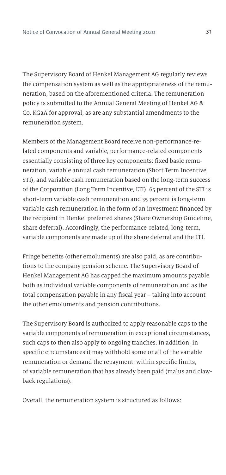The Supervisory Board of Henkel Management AG regularly reviews the compensation system as well as the appropriateness of the remuneration, based on the aforementioned criteria. The remuneration policy is submitted to the Annual General Meeting of Henkel AG & Co. KGaA for approval, as are any substantial amendments to the remuneration system.

Members of the Management Board receive non-performance-related components and variable, performance-related components essentially consisting of three key components: fixed basic remuneration, variable annual cash remuneration (Short Term Incentive, STI), and variable cash remuneration based on the long-term success of the Corporation (Long Term Incentive, LTI). 65 percent of the STI is short-term variable cash remuneration and 35 percent is long-term variable cash remuneration in the form of an investment financed by the recipient in Henkel preferred shares (Share Ownership Guideline, share deferral). Accordingly, the performance-related, long-term, variable components are made up of the share deferral and the LTI.

Fringe benefits (other emoluments) are also paid, as are contributions to the company pension scheme. The Supervisory Board of Henkel Management AG has capped the maximum amounts payable both as individual variable components of remuneration and as the total compensation payable in any fiscal year – taking into account the other emoluments and pension contributions.

The Supervisory Board is authorized to apply reasonable caps to the variable components of remuneration in exceptional circumstances, such caps to then also apply to ongoing tranches. In addition, in specific circumstances it may withhold some or all of the variable remuneration or demand the repayment, within specific limits, of variable remuneration that has already been paid (malus and clawback regulations).

Overall, the remuneration system is structured as follows: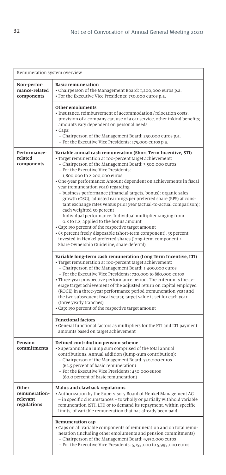| Remuneration system overview                      |                                                                                                                                                                                                                                                                                                                                                                                                                                                                                                                                                                                                                                                                                                                                                                                                                                                                                                                                                                                                                                                                                                                                                                                                                                                                                                                                                                                                                                                                                                                                                                                                                                            |  |  |  |
|---------------------------------------------------|--------------------------------------------------------------------------------------------------------------------------------------------------------------------------------------------------------------------------------------------------------------------------------------------------------------------------------------------------------------------------------------------------------------------------------------------------------------------------------------------------------------------------------------------------------------------------------------------------------------------------------------------------------------------------------------------------------------------------------------------------------------------------------------------------------------------------------------------------------------------------------------------------------------------------------------------------------------------------------------------------------------------------------------------------------------------------------------------------------------------------------------------------------------------------------------------------------------------------------------------------------------------------------------------------------------------------------------------------------------------------------------------------------------------------------------------------------------------------------------------------------------------------------------------------------------------------------------------------------------------------------------------|--|--|--|
| Non-perfor-<br>mance-related<br>components        | <b>Basic remuneration</b><br>• Chairperson of the Management Board: 1,200,000 euros p.a.<br>· For the Executive Vice Presidents: 750,000 euros p.a.                                                                                                                                                                                                                                                                                                                                                                                                                                                                                                                                                                                                                                                                                                                                                                                                                                                                                                                                                                                                                                                                                                                                                                                                                                                                                                                                                                                                                                                                                        |  |  |  |
|                                                   | Other emoluments<br>· Insurance, reimbursement of accommodation/relocation costs,<br>provision of a company car, use of a car service, other inkind benefits;<br>amounts vary dependent on personal needs<br>• Caps:<br>- Chairperson of the Management Board: 250,000 euros p.a.<br>- For the Executive Vice Presidents: 175,000 euros p.a.                                                                                                                                                                                                                                                                                                                                                                                                                                                                                                                                                                                                                                                                                                                                                                                                                                                                                                                                                                                                                                                                                                                                                                                                                                                                                               |  |  |  |
| Performance-<br>related<br>components             | Variable annual cash remuneration (Short Term Incentive, STI)<br>• Target remuneration at 100-percent target achievement:<br>- Chairperson of the Management Board: 3,500,000 euros<br>- For the Executive Vice Presidents:<br>1,800,000 to 2,200,000 euros<br>· One-year performance: Amount dependent on achievements in fiscal<br>year (remuneration year) regarding<br>- business performance (financial targets, bonus): organic sales<br>growth (OSG), adjusted earnings per preferred share (EPS) at cons-<br>tant exchange rates versus prior year (actual-to-actual comparison);<br>each weighted 50 percent<br>- Individual performance: Individual multiplier ranging from<br>0.8 to 1.2, applied to the bonus amount<br>• Cap: 150 percent of the respective target amount<br>• 65 percent freely disposable (short-term component), 35 percent<br>invested in Henkel preferred shares (long-term component ><br>Share Ownership Guideline, share deferral)<br>Variable long-term cash remuneration (Long Term Incentive, LTI)<br>· Target remuneration at 100-percent target achievement:<br>- Chairperson of the Management Board: 1,400,000 euros<br>- For the Executive Vice Presidents: 720,000 to 880,000 euros<br>• Three-year prospective performance period: The criterion is the av-<br>erage target achievement of the adjusted return on capital employed<br>(ROCE) in a three-year performance period (remuneration year and<br>the two subsequent fiscal years); target value is set for each year<br>(three yearly tranches)<br>• Cap: 150 percent of the respective target amount<br><b>Functional factors</b> |  |  |  |
|                                                   | • General functional factors as multipliers for the STI and LTI payment<br>amounts based on target achievement                                                                                                                                                                                                                                                                                                                                                                                                                                                                                                                                                                                                                                                                                                                                                                                                                                                                                                                                                                                                                                                                                                                                                                                                                                                                                                                                                                                                                                                                                                                             |  |  |  |
| Pension<br>commitments                            | Defined contribution pension scheme<br>· Superannuation lump sum comprised of the total annual<br>contributions. Annual addition (lump-sum contribution):<br>- Chairperson of the Management Board: 750,000 euros<br>(62.5 percent of basic remuneration)<br>- For the Executive Vice Presidents: 450,000 euros<br>(60.0 percent of basic remuneration)                                                                                                                                                                                                                                                                                                                                                                                                                                                                                                                                                                                                                                                                                                                                                                                                                                                                                                                                                                                                                                                                                                                                                                                                                                                                                    |  |  |  |
| Other<br>remuneration-<br>relevant<br>regulations | Malus and clawback regulations<br>• Authorization by the Supervisory Board of Henkel Management AG<br>- in specific circumstances - to wholly or partially withhold variable<br>remuneration (STI, LTI) or to demand its repayment, within specific<br>limits, of variable remuneration that has already been paid                                                                                                                                                                                                                                                                                                                                                                                                                                                                                                                                                                                                                                                                                                                                                                                                                                                                                                                                                                                                                                                                                                                                                                                                                                                                                                                         |  |  |  |
|                                                   | Remuneration cap<br>· Caps on all variable components of remuneration and on total remu-<br>neration (including other emoluments and pension commitments)<br>- Chairperson of the Management Board: 9,550,000 euros<br>- For the Executive Vice Presidents: 5,155,000 to 5,995,000 euros                                                                                                                                                                                                                                                                                                                                                                                                                                                                                                                                                                                                                                                                                                                                                                                                                                                                                                                                                                                                                                                                                                                                                                                                                                                                                                                                                   |  |  |  |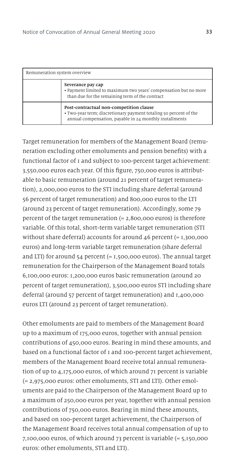| Remuneration system overview |                                                                                                                                                                         |  |  |
|------------------------------|-------------------------------------------------------------------------------------------------------------------------------------------------------------------------|--|--|
|                              | Severance pay cap<br>• Payment limited to maximum two years' compensation but no more<br>than due for the remaining term of the contract                                |  |  |
|                              | Post-contractual non-competition clause<br>• Two-year term; discretionary payment totaling 50 percent of the<br>annual compensation, payable in 24 monthly installments |  |  |

Target remuneration for members of the Management Board (remuneration excluding other emoluments and pension benefits) with a functional factor of 1 and subject to 100-percent target achievement: 3,550,000 euros each year. Of this figure, 750,000 euros is attributable to basic remuneration (around 21 percent of target remuneration), 2,000,000 euros to the STI including share deferral (around 56 percent of target remuneration) and 800,000 euros to the LTI (around 23 percent of target remuneration). Accordingly, some 79 percent of the target remuneration (= 2,800,000 euros) is therefore variable. Of this total, short-term variable target remuneration (STI without share deferral) accounts for around  $\Delta 6$  percent (= 1,300,000 euros) and long-term variable target remuneration (share deferral and LTI) for around  $54$  percent (=  $1,500,000$  euros). The annual target remuneration for the Chairperson of the Management Board totals 6,100,000 euros: 1,200,000 euros basic remuneration (around 20 percent of target remuneration), 3,500,000 euros STI including share deferral (around 57 percent of target remuneration) and 1,400,000 euros LTI (around 23 percent of target remuneration).

Other emoluments are paid to members of the Management Board up to a maximum of 175,000 euros, together with annual pension contributions of 450,000 euros. Bearing in mind these amounts, and based on a functional factor of 1 and 100-percent target achievement, members of the Management Board receive total annual remuneration of up to 4,175,000 euros, of which around 71 percent is variable (= 2,975,000 euros: other emoluments, STI and LTI). Other emoluments are paid to the Chairperson of the Management Board up to a maximum of 250,000 euros per year, together with annual pension contributions of 750,000 euros. Bearing in mind these amounts, and based on 100-percent target achievement, the Chairperson of the Management Board receives total annual compensation of up to 7,100,000 euros, of which around 73 percent is variable (= 5,150,000 euros: other emoluments, STI and LTI).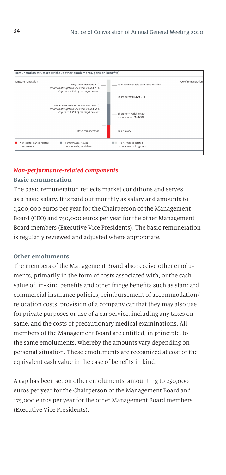

#### *Non-performance-related components*

#### **Basic remuneration**

The basic remuneration reflects market conditions and serves as a basic salary. It is paid out monthly as salary and amounts to 1,200,000 euros per year for the Chairperson of the Management Board (CEO) and 750,000 euros per year for the other Management Board members (Executive Vice Presidents). The basic remuneration is regularly reviewed and adjusted where appropriate.

#### **Other emoluments**

The members of the Management Board also receive other emoluments, primarily in the form of costs associated with, or the cash value of, in-kind benefits and other fringe benefits such as standard commercial insurance policies, reimbursement of accommodation/ relocation costs, provision of a company car that they may also use for private purposes or use of a car service, including any taxes on same, and the costs of precautionary medical examinations. All members of the Management Board are entitled, in principle, to the same emoluments, whereby the amounts vary depending on personal situation. These emoluments are recognized at cost or the equivalent cash value in the case of benefits in kind.

A cap has been set on other emoluments, amounting to 250,000 euros per year for the Chairperson of the Management Board and 175,000 euros per year for the other Management Board members (Executive Vice Presidents).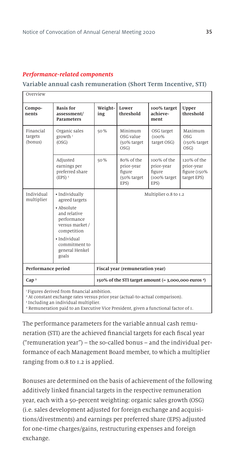#### *Performance-related components*

#### **Variable annual cash remuneration (Short Term Incentive, STI)**

| Overview                        |                                                                                                                                                                             |                                 |                                                           |                                                             |                                                          |  |
|---------------------------------|-----------------------------------------------------------------------------------------------------------------------------------------------------------------------------|---------------------------------|-----------------------------------------------------------|-------------------------------------------------------------|----------------------------------------------------------|--|
| Compo-<br>nents                 | <b>Basis</b> for<br>assessment/<br><b>Parameters</b>                                                                                                                        | Weight-<br>ing                  | Lower<br>threshold                                        | 100% target<br>achieve-<br>ment                             | Upper<br>threshold                                       |  |
| Financial<br>targets<br>(bonus) | Organic sales<br>growth <sup>1</sup><br>(OSG)                                                                                                                               | 50%                             | Minimum<br>OSG value<br>(50% target<br>OSG                | OSG target<br>(100%<br>target OSG)                          | Maximum<br>OSG<br>(150% target<br>OSG)                   |  |
|                                 | Adjusted<br>earnings per<br>preferred share<br>$(EPS)^2$                                                                                                                    | 50%                             | 80% of the<br>prior-year<br>figure<br>(50% target<br>EPS) | 100% of the<br>prior-year<br>figure<br>(100% target<br>EPS) | 120% of the<br>prior-year<br>figure (150%<br>target EPS) |  |
| Individual<br>multiplier        | · Individually<br>agreed targets<br>• Absolute<br>and relative<br>performance<br>versus market /<br>competition<br>· Individual<br>commitment to<br>general Henkel<br>goals |                                 |                                                           | Multiplier 0.8 to 1.2                                       |                                                          |  |
| Performance period              |                                                                                                                                                                             | Fiscal year (remuneration year) |                                                           |                                                             |                                                          |  |
| Cap <sup>3</sup>                | $150\%$ of the STI target amount (= 3,000,000 euros $4$ )                                                                                                                   |                                 |                                                           |                                                             |                                                          |  |

<sup>1</sup> Figures derived from financial ambition.

2 At constant exchange rates versus prior year (actual-to-actual comparison).

3 Including an individual multiplier.

4 Remuneration paid to an Executive Vice President, given a functional factor of 1.

The performance parameters for the variable annual cash remuneration (STI) are the achieved financial targets for each fiscal year ("remuneration year") – the so-called bonus – and the individual performance of each Management Board member, to which a multiplier ranging from 0.8 to 1.2 is applied.

Bonuses are determined on the basis of achievement of the following additively linked financial targets in the respective remuneration year, each with a 50-percent weighting: organic sales growth (OSG) (i.e. sales development adjusted for foreign exchange and acquisitions/divestments) and earnings per preferred share (EPS) adjusted for one-time charges/gains, restructuring expenses and foreign exchange.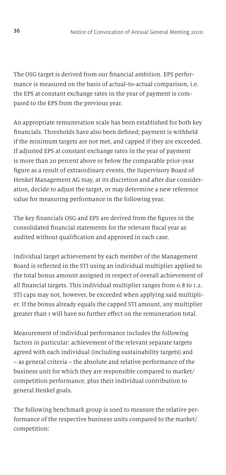The OSG target is derived from our financial ambition. EPS performance is measured on the basis of actual-to-actual comparison, i.e. the EPS at constant exchange rates in the year of payment is compared to the EPS from the previous year.

An appropriate remuneration scale has been established for both key financials. Thresholds have also been defined; payment is withheld if the minimum targets are not met, and capped if they are exceeded. If adjusted EPS at constant exchange rates in the year of payment is more than 20 percent above or below the comparable prior-year figure as a result of extraordinary events, the Supervisory Board of Henkel Management AG may, at its discretion and after due consideration, decide to adjust the target, or may determine a new reference value for measuring performance in the following year.

The key financials OSG and EPS are derived from the figures in the consolidated financial statements for the relevant fiscal year as audited without qualification and approved in each case.

Individual target achievement by each member of the Management Board is reflected in the STI using an individual multiplier applied to the total bonus amount assigned in respect of overall achievement of all financial targets. This individual multiplier ranges from 0.8 to 1.2. STI caps may not, however, be exceeded when applying said multiplier. If the bonus already equals the capped STI amount, any multiplier greater than 1 will have no further effect on the remuneration total.

Measurement of individual performance includes the following factors in particular: achievement of the relevant separate targets agreed with each individual (including sustainability targets) and – as general criteria – the absolute and relative performance of the business unit for which they are responsible compared to market/ competition performance, plus their individual contribution to general Henkel goals.

The following benchmark group is used to measure the relative performance of the respective business units compared to the market/ competition: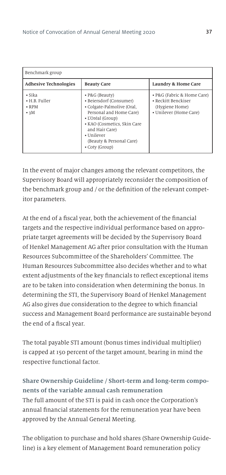| Benchmark group                                            |                                                                                                                                                                                                                                      |                                                                                               |  |
|------------------------------------------------------------|--------------------------------------------------------------------------------------------------------------------------------------------------------------------------------------------------------------------------------------|-----------------------------------------------------------------------------------------------|--|
| <b>Adhesive Technologies</b>                               | <b>Beauty Care</b>                                                                                                                                                                                                                   | Laundry & Home Care                                                                           |  |
| $\cdot$ Sika<br>• H.B. Fuller<br>$\cdot$ RPM<br>$\cdot$ 3M | • P&G (Beauty)<br>• Beiersdorf (Consumer)<br>• Colgate-Palmolive (Oral,<br>Personal and Home Care)<br>• L'Oréal (Group)<br>• KAO (Cosmetics, Skin Care<br>and Hair Care)<br>• Unilever<br>(Beauty & Personal Care)<br>• Coty (Group) | • P&G (Fabric & Home Care)<br>• Reckitt Benckiser<br>(Hygiene Home)<br>• Unilever (Home Care) |  |

In the event of major changes among the relevant competitors, the Supervisory Board will appropriately reconsider the composition of the benchmark group and / or the definition of the relevant competitor parameters.

At the end of a fiscal year, both the achievement of the financial targets and the respective individual performance based on appropriate target agreements will be decided by the Supervisory Board of Henkel Management AG after prior consultation with the Human Resources Subcommittee of the Shareholders' Committee. The Human Resources Subcommittee also decides whether and to what extent adjustments of the key financials to reflect exceptional items are to be taken into consideration when determining the bonus. In determining the STI, the Supervisory Board of Henkel Management AG also gives due consideration to the degree to which financial success and Management Board performance are sustainable beyond the end of a fiscal year.

The total payable STI amount (bonus times individual multiplier) is capped at 150 percent of the target amount, bearing in mind the respective functional factor.

# **Share Ownership Guideline / Short-term and long-term components of the variable annual cash remuneration** The full amount of the STI is paid in cash once the Corporation's annual financial statements for the remuneration year have been approved by the Annual General Meeting.

The obligation to purchase and hold shares (Share Ownership Guideline) is a key element of Management Board remuneration policy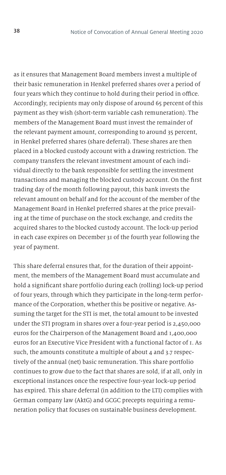as it ensures that Management Board members invest a multiple of their basic remuneration in Henkel preferred shares over a period of four years which they continue to hold during their period in office. Accordingly, recipients may only dispose of around 65 percent of this payment as they wish (short-term variable cash remuneration). The members of the Management Board must invest the remainder of the relevant payment amount, corresponding to around 35 percent, in Henkel preferred shares (share deferral). These shares are then placed in a blocked custody account with a drawing restriction. The company transfers the relevant investment amount of each individual directly to the bank responsible for settling the investment transactions and managing the blocked custody account. On the first trading day of the month following payout, this bank invests the relevant amount on behalf and for the account of the member of the Management Board in Henkel preferred shares at the price prevailing at the time of purchase on the stock exchange, and credits the acquired shares to the blocked custody account. The lock-up period in each case expires on December 31 of the fourth year following the year of payment.

This share deferral ensures that, for the duration of their appointment, the members of the Management Board must accumulate and hold a significant share portfolio during each (rolling) lock-up period of four years, through which they participate in the long-term performance of the Corporation, whether this be positive or negative. Assuming the target for the STI is met, the total amount to be invested under the STI program in shares over a four-year period is 2,450,000 euros for the Chairperson of the Management Board and 1,400,000 euros for an Executive Vice President with a functional factor of 1. As such, the amounts constitute a multiple of about 4 and 3.7 respectively of the annual (net) basic remuneration. This share portfolio continues to grow due to the fact that shares are sold, if at all, only in exceptional instances once the respective four-year lock-up period has expired. This share deferral (in addition to the LTI) complies with German company law (AktG) and GCGC precepts requiring a remuneration policy that focuses on sustainable business development.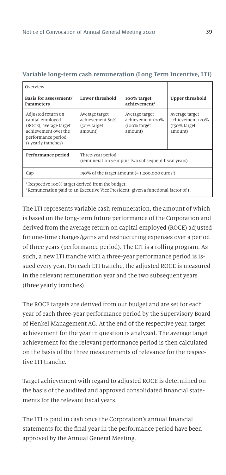| Overview                                                                                                                              |                                                                                                                              |                                         |                                                                |
|---------------------------------------------------------------------------------------------------------------------------------------|------------------------------------------------------------------------------------------------------------------------------|-----------------------------------------|----------------------------------------------------------------|
| Basis for assessment/<br>Parameters                                                                                                   | Lower threshold                                                                                                              | 100% target<br>achievement <sup>1</sup> | <b>Upper threshold</b>                                         |
| Adjusted return on<br>capital employed<br>(ROCE), average target<br>achievement over the<br>performance period<br>(3 yearly tranches) | Average target<br>Average target<br>achievement 80%<br>achievement 100%<br>(100% target<br>(50% target<br>amount)<br>amount) |                                         | Average target<br>achievement 120%<br>(150% target)<br>amount) |
| Performance period                                                                                                                    | Three-year period<br>(remuneration year plus two subsequent fiscal years)                                                    |                                         |                                                                |
| Cap                                                                                                                                   | $150\%$ of the target amount $(= 1, 200, 000 \text{ euros}^2)$                                                               |                                         |                                                                |
| <sup>1</sup> Respective 100% target derived from the budget.                                                                          |                                                                                                                              |                                         |                                                                |

#### **Variable long-term cash remuneration (Long Term Incentive, LTI)**

2 Remuneration paid to an Executive Vice President, given a functional factor of 1.

The LTI represents variable cash remuneration, the amount of which is based on the long-term future performance of the Corporation and derived from the average return on capital employed (ROCE) adjusted for one-time charges/gains and restructuring expenses over a period of three years (performance period). The LTI is a rolling program. As such, a new LTI tranche with a three-year performance period is issued every year. For each LTI tranche, the adjusted ROCE is measured in the relevant remuneration year and the two subsequent years (three yearly tranches).

The ROCE targets are derived from our budget and are set for each year of each three-year performance period by the Supervisory Board of Henkel Management AG. At the end of the respective year, target achievement for the year in question is analyzed. The average target achievement for the relevant performance period is then calculated on the basis of the three measurements of relevance for the respective LTI tranche.

Target achievement with regard to adjusted ROCE is determined on the basis of the audited and approved consolidated financial statements for the relevant fiscal years.

The LTI is paid in cash once the Corporation's annual financial statements for the final year in the performance period have been approved by the Annual General Meeting.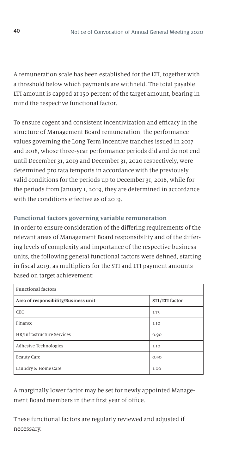A remuneration scale has been established for the LTI, together with a threshold below which payments are withheld. The total payable LTI amount is capped at 150 percent of the target amount, bearing in mind the respective functional factor.

To ensure cogent and consistent incentivization and efficacy in the structure of Management Board remuneration, the performance values governing the Long Term Incentive tranches issued in 2017 and 2018, whose three-year performance periods did and do not end until December 31, 2019 and December 31, 2020 respectively, were determined pro rata temporis in accordance with the previously valid conditions for the periods up to December 31, 2018, while for the periods from January 1, 2019, they are determined in accordance with the conditions effective as of 2019.

### **Functional factors governing variable remuneration**

In order to ensure consideration of the differing requirements of the relevant areas of Management Board responsibility and of the differing levels of complexity and importance of the respective business units, the following general functional factors were defined, starting in fiscal 2019, as multipliers for the STI and LTI payment amounts based on target achievement:

| <b>Functional factors</b>                              |             |  |
|--------------------------------------------------------|-------------|--|
| Area of responsibility/Business unit<br>STI/LTI factor |             |  |
| CEO                                                    | I.75        |  |
| Finance                                                | 1.10        |  |
| HR/Infrastructure Services                             | 0.90        |  |
| Adhesive Technologies                                  | 1.10        |  |
| <b>Beauty Care</b>                                     | 0.90        |  |
| Laundry & Home Care                                    | <b>I.OO</b> |  |

A marginally lower factor may be set for newly appointed Management Board members in their first year of office.

These functional factors are regularly reviewed and adjusted if necessary.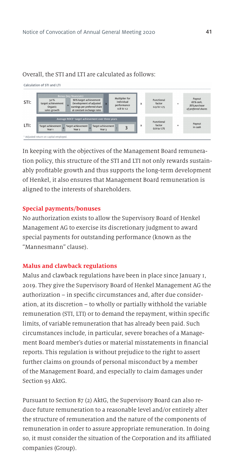#### Overall, the STI and LTI are calculated as follows:

Calculation of STL and LTL



In keeping with the objectives of the Management Board remuneration policy, this structure of the STI and LTI not only rewards sustainably profitable growth and thus supports the long-term development of Henkel, it also ensures that Management Board remuneration is aligned to the interests of shareholders.

#### **Special payments/bonuses**

No authorization exists to allow the Supervisory Board of Henkel Management AG to exercise its discretionary judgment to award special payments for outstanding performance (known as the "Mannesmann" clause).

#### **Malus and clawback regulations**

Malus and clawback regulations have been in place since January 1, 2019. They give the Supervisory Board of Henkel Management AG the authorization – in specific circumstances and, after due consideration, at its discretion – to wholly or partially withhold the variable remuneration (STI, LTI) or to demand the repayment, within specific limits, of variable remuneration that has already been paid. Such circumstances include, in particular, severe breaches of a Management Board member's duties or material misstatements in financial reports. This regulation is without prejudice to the right to assert further claims on grounds of personal misconduct by a member of the Management Board, and especially to claim damages under Section 93 AktG.

Pursuant to Section 87 (2) AktG, the Supervisory Board can also reduce future remuneration to a reasonable level and/or entirely alter the structure of remuneration and the nature of the components of remuneration in order to assure appropriate remuneration. In doing so, it must consider the situation of the Corporation and its affiliated companies (Group).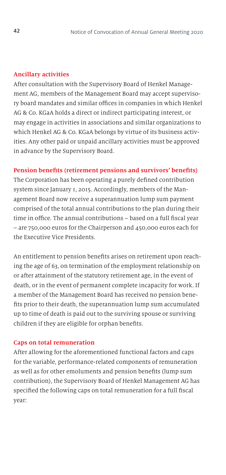#### **Ancillary activities**

After consultation with the Supervisory Board of Henkel Management AG, members of the Management Board may accept supervisory board mandates and similar offices in companies in which Henkel AG & Co. KGaA holds a direct or indirect participating interest, or may engage in activities in associations and similar organizations to which Henkel AG & Co. KGaA belongs by virtue of its business activities. Any other paid or unpaid ancillary activities must be approved in advance by the Supervisory Board.

#### **Pension benefits (retirement pensions and survivors' benefits)**

The Corporation has been operating a purely defined contribution system since January 1, 2015. Accordingly, members of the Management Board now receive a superannuation lump sum payment comprised of the total annual contributions to the plan during their time in office. The annual contributions – based on a full fiscal year – are 750,000 euros for the Chairperson and 450,000 euros each for the Executive Vice Presidents.

An entitlement to pension benefits arises on retirement upon reaching the age of 63, on termination of the employment relationship on or after attainment of the statutory retirement age, in the event of death, or in the event of permanent complete incapacity for work. If a member of the Management Board has received no pension benefits prior to their death, the superannuation lump sum accumulated up to time of death is paid out to the surviving spouse or surviving children if they are eligible for orphan benefits.

#### **Caps on total remuneration**

After allowing for the aforementioned functional factors and caps for the variable, performance-related components of remuneration as well as for other emoluments and pension benefits (lump sum contribution), the Supervisory Board of Henkel Management AG has specified the following caps on total remuneration for a full fiscal year: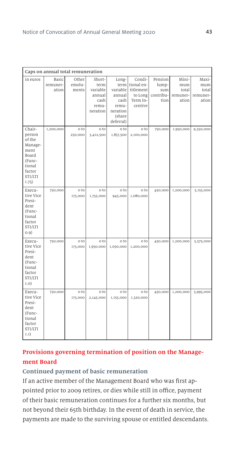|                                                                                                             | Caps on annual total remuneration              |                                             |                                                                                        |                                                                                          |                                                                                                        |                                                         |                                                         |                                                         |
|-------------------------------------------------------------------------------------------------------------|------------------------------------------------|---------------------------------------------|----------------------------------------------------------------------------------------|------------------------------------------------------------------------------------------|--------------------------------------------------------------------------------------------------------|---------------------------------------------------------|---------------------------------------------------------|---------------------------------------------------------|
| in euros<br>Chair-<br>person<br>of the<br>Manage-<br>ment<br>Board<br>(Func-<br>tional<br>factor<br>STI/LTI | <b>Basic</b><br>remuner-<br>ation<br>I,200,000 | Other<br>emolu-<br>ments<br>o to<br>250,000 | Short-<br>term<br>variable<br>annual<br>cash<br>remu-<br>neration<br>o to<br>3,412,500 | Long-<br>annual<br>cash<br>remu-<br>neration<br>(share<br>deferral)<br>o to<br>1,837,500 | Condi-<br>term tional en-<br>variable titlement<br>to Long<br>Term In-<br>centive<br>o to<br>2,100,000 | Pension<br>lump-<br>sum<br>contribu-<br>tion<br>750,000 | Mini-<br>mum<br>total<br>remuner-<br>ation<br>1,950,000 | Maxi-<br>mum<br>total<br>remuner-<br>ation<br>9,550,000 |
| 1.75)<br>Execu-<br>tive Vice<br>Presi-<br>dent<br>(Func-<br>tional<br>factor<br>STI/LTI<br>(0.9)            | 750,000                                        | o to<br>175,000                             | o to<br>1,755,000                                                                      | o to<br>945,000                                                                          | o to<br>1,080,000                                                                                      | 450,000                                                 | I,200,000                                               | 5,155,000                                               |
| Execu-<br>tive Vice<br>Presi-<br>dent<br>(Func-<br>tional<br>factor<br>STI/LTI<br>(0.1)                     | 750,000                                        | o to<br>175,000                             | o to<br>1,950,000                                                                      | o to<br>1,050,000                                                                        | o to<br>1,200,000                                                                                      | 450,000                                                 | 1,200,000                                               | 5,575,000                                               |
| Execu-<br>tive Vice<br>Presi-<br>dent<br>(Func-<br>tional<br>factor<br>STI/LTI<br>I.I)                      | 750,000                                        | o to<br>175,000                             | o to<br>2,145,000                                                                      | o to<br>1,155,000                                                                        | o to<br>1,320,000                                                                                      | 450,000                                                 | I,200,000                                               | 5,995,000                                               |

## **Provisions governing termination of position on the Management Board**

#### **Continued payment of basic remuneration**

If an active member of the Management Board who was first appointed prior to 2009 retires, or dies while still in office, payment of their basic remuneration continues for a further six months, but not beyond their 65th birthday. In the event of death in service, the payments are made to the surviving spouse or entitled descendants.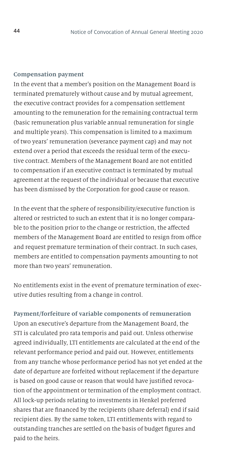#### **Compensation payment**

In the event that a member's position on the Management Board is terminated prematurely without cause and by mutual agreement, the executive contract provides for a compensation settlement amounting to the remuneration for the remaining contractual term (basic remuneration plus variable annual remuneration for single and multiple years). This compensation is limited to a maximum of two years' remuneration (severance payment cap) and may not extend over a period that exceeds the residual term of the executive contract. Members of the Management Board are not entitled to compensation if an executive contract is terminated by mutual agreement at the request of the individual or because that executive has been dismissed by the Corporation for good cause or reason.

In the event that the sphere of responsibility/executive function is altered or restricted to such an extent that it is no longer comparable to the position prior to the change or restriction, the affected members of the Management Board are entitled to resign from office and request premature termination of their contract. In such cases, members are entitled to compensation payments amounting to not more than two years' remuneration.

No entitlements exist in the event of premature termination of executive duties resulting from a change in control.

**Payment/forfeiture of variable components of remuneration** Upon an executive's departure from the Management Board, the STI is calculated pro rata temporis and paid out. Unless otherwise agreed individually, LTI entitlements are calculated at the end of the relevant performance period and paid out. However, entitlements from any tranche whose performance period has not yet ended at the date of departure are forfeited without replacement if the departure is based on good cause or reason that would have justified revocation of the appointment or termination of the employment contract. All lock-up periods relating to investments in Henkel preferred shares that are financed by the recipients (share deferral) end if said recipient dies. By the same token, LTI entitlements with regard to outstanding tranches are settled on the basis of budget figures and paid to the heirs.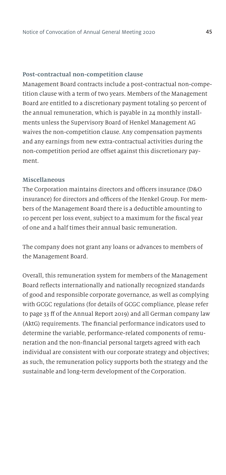#### **Post-contractual non-competition clause**

Management Board contracts include a post-contractual non-competition clause with a term of two years. Members of the Management Board are entitled to a discretionary payment totaling 50 percent of the annual remuneration, which is payable in 24 monthly installments unless the Supervisory Board of Henkel Management AG waives the non-competition clause. Any compensation payments and any earnings from new extra-contractual activities during the non-competition period are offset against this discretionary payment.

#### **Miscellaneous**

The Corporation maintains directors and officers insurance (D&O insurance) for directors and officers of the Henkel Group. For members of the Management Board there is a deductible amounting to 10 percent per loss event, subject to a maximum for the fiscal year of one and a half times their annual basic remuneration.

The company does not grant any loans or advances to members of the Management Board.

Overall, this remuneration system for members of the Management Board reflects internationally and nationally recognized standards of good and responsible corporate governance, as well as complying with GCGC regulations (for details of GCGC compliance, please refer to page 33 ff of the Annual Report 2019) and all German company law (AktG) requirements. The financial performance indicators used to determine the variable, performance-related components of remuneration and the non-financial personal targets agreed with each individual are consistent with our corporate strategy and objectives; as such, the remuneration policy supports both the strategy and the sustainable and long-term development of the Corporation.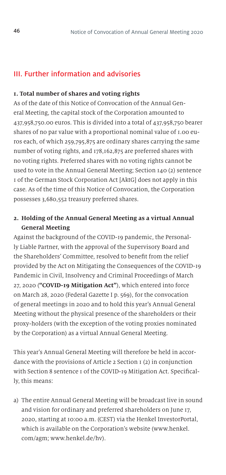### III. Further information and advisories

#### **1. Total number of shares and voting rights**

As of the date of this Notice of Convocation of the Annual General Meeting, the capital stock of the Corporation amounted to 437,958,750.00 euros. This is divided into a total of 437,958,750 bearer shares of no par value with a proportional nominal value of 1.00 euros each, of which 259,795,875 are ordinary shares carrying the same number of voting rights, and 178,162,875 are preferred shares with no voting rights. Preferred shares with no voting rights cannot be used to vote in the Annual General Meeting; Section 140 (2) sentence 1 of the German Stock Corporation Act [AktG] does not apply in this case. As of the time of this Notice of Convocation, the Corporation possesses 3,680,552 treasury preferred shares.

### **2. Holding of the Annual General Meeting as a virtual Annual General Meeting**

Against the background of the COVID-19 pandemic, the Personally Liable Partner, with the approval of the Supervisory Board and the Shareholders' Committee, resolved to benefit from the relief provided by the Act on Mitigating the Consequences of the COVID-19 Pandemic in Civil, Insolvency and Criminal Proceedings of March 27, 2020 (**"COVID-19 Mitigation Act"**), which entered into force on March 28, 2020 (Federal Gazette I p. 569), for the convocation of general meetings in 2020 and to hold this year's Annual General Meeting without the physical presence of the shareholders or their proxy-holders (with the exception of the voting proxies nominated by the Corporation) as a virtual Annual General Meeting.

This year's Annual General Meeting will therefore be held in accordance with the provisions of Article 2 Section 1 (2) in conjunction with Section 8 sentence 1 of the COVID-19 Mitigation Act. Specifically, this means:

a) The entire Annual General Meeting will be broadcast live in sound and vision for ordinary and preferred shareholders on June 17, 2020, starting at 10:00 a.m. (CEST) via the Henkel InvestorPortal, which is available on the Corporation's website (www.henkel. com/agm; www.henkel.de/hv).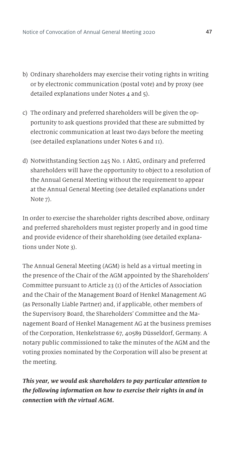- b) Ordinary shareholders may exercise their voting rights in writing or by electronic communication (postal vote) and by proxy (see detailed explanations under Notes 4 and 5).
- c) The ordinary and preferred shareholders will be given the opportunity to ask questions provided that these are submitted by electronic communication at least two days before the meeting (see detailed explanations under Notes 6 and 11).
- d) Notwithstanding Section 245 No. 1 AktG, ordinary and preferred shareholders will have the opportunity to object to a resolution of the Annual General Meeting without the requirement to appear at the Annual General Meeting (see detailed explanations under Note 7).

In order to exercise the shareholder rights described above, ordinary and preferred shareholders must register properly and in good time and provide evidence of their shareholding (see detailed explanations under Note 3).

The Annual General Meeting (AGM) is held as a virtual meeting in the presence of the Chair of the AGM appointed by the Shareholders' Committee pursuant to Article 23 (1) of the Articles of Association and the Chair of the Management Board of Henkel Management AG (as Personally Liable Partner) and, if applicable, other members of the Supervisory Board, the Shareholders' Committee and the Management Board of Henkel Management AG at the business premises of the Corporation, Henkelstrasse 67, 40589 Düsseldorf, Germany. A notary public commissioned to take the minutes of the AGM and the voting proxies nominated by the Corporation will also be present at the meeting.

*This year, we would ask shareholders to pay particular attention to the following information on how to exercise their rights in and in connection with the virtual AGM.*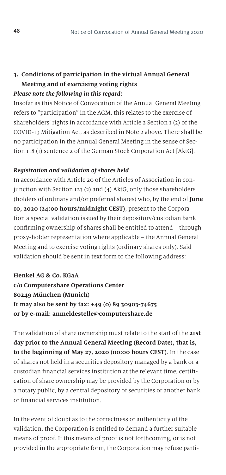### **3. Conditions of participation in the virtual Annual General Meeting and of exercising voting rights** *Please note the following in this regard:*

Insofar as this Notice of Convocation of the Annual General Meeting refers to "participation" in the AGM, this relates to the exercise of shareholders' rights in accordance with Article 2 Section  $I(2)$  of the COVID-19 Mitigation Act, as described in Note 2 above. There shall be no participation in the Annual General Meeting in the sense of Section 118 (1) sentence 2 of the German Stock Corporation Act [AktG].

#### *Registration and validation of shares held*

In accordance with Article 20 of the Articles of Association in conjunction with Section 123 (2) and (4) AktG, only those shareholders (holders of ordinary and/or preferred shares) who, by the end of **June 10, 2020 (24:00 hours/midnight CEST)**, present to the Corporation a special validation issued by their depository/custodian bank confirming ownership of shares shall be entitled to attend – through proxy-holder representation where applicable – the Annual General Meeting and to exercise voting rights (ordinary shares only). Said validation should be sent in text form to the following address:

### **Henkel AG & Co. KGaA**

**c/o Computershare Operations Center 80249 München (Munich) It may also be sent by fax: +49 (0) 89 30903-74675 or by e-mail: anmeldestelle@computershare.de**

The validation of share ownership must relate to the start of the **21st day prior to the Annual General Meeting (Record Date), that is, to the beginning of May 27, 2020 (00:00 hours CEST)**. In the case of shares not held in a securities depository managed by a bank or a custodian financial services institution at the relevant time, certification of share ownership may be provided by the Corporation or by a notary public, by a central depository of securities or another bank or financial services institution.

In the event of doubt as to the correctness or authenticity of the validation, the Corporation is entitled to demand a further suitable means of proof. If this means of proof is not forthcoming, or is not provided in the appropriate form, the Corporation may refuse parti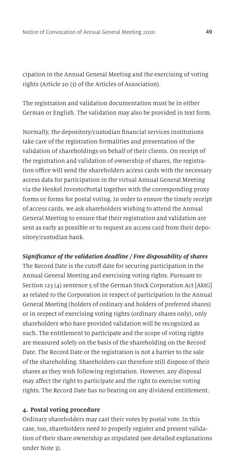cipation in the Annual General Meeting and the exercising of voting rights (Article 20 (3) of the Articles of Association).

The registration and validation documentation must be in either German or English. The validation may also be provided in text form.

Normally, the depository/custodian financial services institutions take care of the registration formalities and presentation of the validation of shareholdings on behalf of their clients. On receipt of the registration and validation of ownership of shares, the registration office will send the shareholders access cards with the necessary access data for participation in the virtual Annual General Meeting via the Henkel InvestorPortal together with the corresponding proxy forms or forms for postal voting. In order to ensure the timely receipt of access cards, we ask shareholders wishing to attend the Annual General Meeting to ensure that their registration and validation are sent as early as possible or to request an access card from their depository/custodian bank.

#### *Significance of the validation deadline / Free disposability of shares*

The Record Date is the cutoff date for securing participation in the Annual General Meeting and exercising voting rights. Pursuant to Section 123 (4) sentence 5 of the German Stock Corporation Act [AktG] as related to the Corporation in respect of participation in the Annual General Meeting (holders of ordinary and holders of preferred shares) or in respect of exercising voting rights (ordinary shares only), only shareholders who have provided validation will be recognized as such. The entitlement to participate and the scope of voting rights are measured solely on the basis of the shareholding on the Record Date. The Record Date or the registration is not a barrier to the sale of the shareholding. Shareholders can therefore still dispose of their shares as they wish following registration. However, any disposal may affect the right to participate and the right to exercise voting rights. The Record Date has no bearing on any dividend entitlement.

#### **4. Postal voting procedure**

Ordinary shareholders may cast their votes by postal vote. In this case, too, shareholders need to properly register and present validation of their share ownership as stipulated (see detailed explanations under Note 3).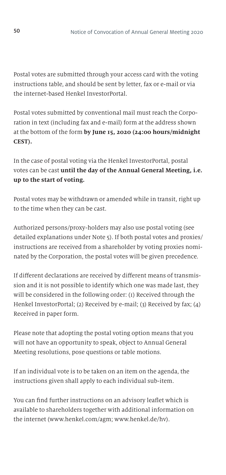Postal votes are submitted through your access card with the voting instructions table, and should be sent by letter, fax or e-mail or via the internet-based Henkel InvestorPortal.

Postal votes submitted by conventional mail must reach the Corporation in text (including fax and e-mail) form at the address shown at the bottom of the form **by June 15, 2020 (24:00 hours/midnight CEST).**

In the case of postal voting via the Henkel InvestorPortal, postal votes can be cast **until the day of the Annual General Meeting, i.e. up to the start of voting.**

Postal votes may be withdrawn or amended while in transit, right up to the time when they can be cast.

Authorized persons/proxy-holders may also use postal voting (see detailed explanations under Note 5). If both postal votes and proxies/ instructions are received from a shareholder by voting proxies nominated by the Corporation, the postal votes will be given precedence.

If different declarations are received by different means of transmission and it is not possible to identify which one was made last, they will be considered in the following order: (1) Received through the Henkel InvestorPortal; (2) Received by e-mail; (3) Received by fax; (4) Received in paper form.

Please note that adopting the postal voting option means that you will not have an opportunity to speak, object to Annual General Meeting resolutions, pose questions or table motions.

If an individual vote is to be taken on an item on the agenda, the instructions given shall apply to each individual sub-item.

You can find further instructions on an advisory leaflet which is available to shareholders together with additional information on the internet (www.henkel.com/agm; www.henkel.de/hv).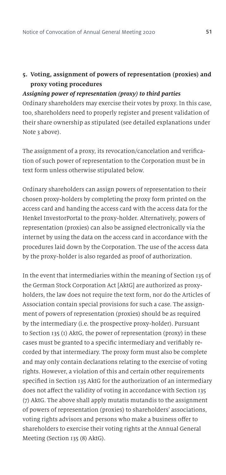### **5. Voting, assignment of powers of representation (proxies) and proxy voting procedures**

#### *Assigning power of representation (proxy) to third parties*

Ordinary shareholders may exercise their votes by proxy. In this case, too, shareholders need to properly register and present validation of their share ownership as stipulated (see detailed explanations under Note 3 above).

The assignment of a proxy, its revocation/cancelation and verification of such power of representation to the Corporation must be in text form unless otherwise stipulated below.

Ordinary shareholders can assign powers of representation to their chosen proxy-holders by completing the proxy form printed on the access card and handing the access card with the access data for the Henkel InvestorPortal to the proxy-holder. Alternatively, powers of representation (proxies) can also be assigned electronically via the internet by using the data on the access card in accordance with the procedures laid down by the Corporation. The use of the access data by the proxy-holder is also regarded as proof of authorization.

In the event that intermediaries within the meaning of Section 135 of the German Stock Corporation Act [AktG] are authorized as proxyholders, the law does not require the text form, nor do the Articles of Association contain special provisions for such a case. The assignment of powers of representation (proxies) should be as required by the intermediary (i.e. the prospective proxy-holder). Pursuant to Section 135 (1) AktG, the power of representation (proxy) in these cases must be granted to a specific intermediary and verifiably recorded by that intermediary. The proxy form must also be complete and may only contain declarations relating to the exercise of voting rights. However, a violation of this and certain other requirements specified in Section 135 AktG for the authorization of an intermediary does not affect the validity of voting in accordance with Section 135 (7) AktG. The above shall apply mutatis mutandis to the assignment of powers of representation (proxies) to shareholders' associations, voting rights advisors and persons who make a business offer to shareholders to exercise their voting rights at the Annual General Meeting (Section 135 (8) AktG).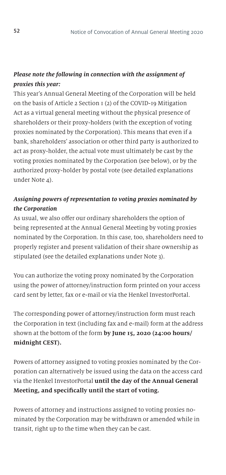### *Please note the following in connection with the assignment of proxies this year:*

This year's Annual General Meeting of the Corporation will be held on the basis of Article 2 Section 1 (2) of the COVID-19 Mitigation Act as a virtual general meeting without the physical presence of shareholders or their proxy-holders (with the exception of voting proxies nominated by the Corporation). This means that even if a bank, shareholders' association or other third party is authorized to act as proxy-holder, the actual vote must ultimately be cast by the voting proxies nominated by the Corporation (see below), or by the authorized proxy-holder by postal vote (see detailed explanations under Note 4).

### *Assigning powers of representation to voting proxies nominated by the Corporation*

As usual, we also offer our ordinary shareholders the option of being represented at the Annual General Meeting by voting proxies nominated by the Corporation. In this case, too, shareholders need to properly register and present validation of their share ownership as stipulated (see the detailed explanations under Note 3).

You can authorize the voting proxy nominated by the Corporation using the power of attorney/instruction form printed on your access card sent by letter, fax or e-mail or via the Henkel InvestorPortal.

The corresponding power of attorney/instruction form must reach the Corporation in text (including fax and e-mail) form at the address shown at the bottom of the form **by June 15, 2020 (24:00 hours/ midnight CEST).**

Powers of attorney assigned to voting proxies nominated by the Corporation can alternatively be issued using the data on the access card via the Henkel InvestorPortal **until the day of the Annual General Meeting, and specifically until the start of voting.**

Powers of attorney and instructions assigned to voting proxies nominated by the Corporation may be withdrawn or amended while in transit, right up to the time when they can be cast.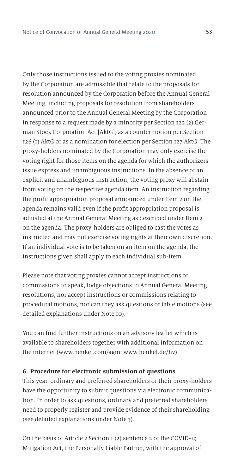Only those instructions issued to the voting proxies nominated by the Corporation are admissible that relate to the proposals for resolution announced by the Corporation before the Annual General Meeting, including proposals for resolution from shareholders announced prior to the Annual General Meeting by the Corporation in response to a request made by a minority per Section 122 (2) German Stock Corporation Act [AktG], as a countermotion per Section 126 (1) AktG or as a nomination for election per Section 127 AktG. The proxy-holders nominated by the Corporation may only exercise the voting right for those items on the agenda for which the authorizers issue express and unambiguous instructions. In the absence of an explicit and unambiguous instruction, the voting proxy will abstain from voting on the respective agenda item. An instruction regarding the profit appropriation proposal announced under Item 2 on the agenda remains valid even if the profit appropriation proposal is adjusted at the Annual General Meeting as described under Item 2 on the agenda. The proxy-holders are obliged to cast the votes as instructed and may not exercise voting rights at their own discretion. If an individual vote is to be taken on an item on the agenda, the instructions given shall apply to each individual sub-item.

Please note that voting proxies cannot accept instructions or commissions to speak, lodge objections to Annual General Meeting resolutions, nor accept instructions or commissions relating to procedural motions, nor can they ask questions or table motions (see detailed explanations under Note 10).

You can find further instructions on an advisory leaflet which is available to shareholders together with additional information on the internet (www.henkel.com/agm; www.henkel.de/hv).

#### **6. Procedure for electronic submission of questions**

This year, ordinary and preferred shareholders or their proxy-holders have the opportunity to submit questions via electronic communication. In order to ask questions, ordinary and preferred shareholders need to properly register and provide evidence of their shareholding (see detailed explanations under Note 3).

On the basis of Article 2 Section 1 (2) sentence 2 of the COVID-19 Mitigation Act, the Personally Liable Partner, with the approval of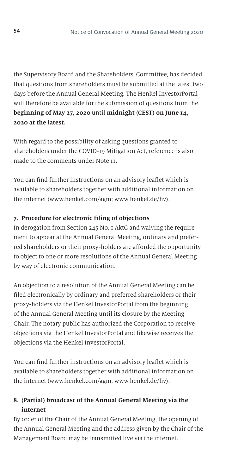the Supervisory Board and the Shareholders' Committee, has decided that questions from shareholders must be submitted at the latest two days before the Annual General Meeting. The Henkel InvestorPortal will therefore be available for the submission of questions from the **beginning of May 27, 2020** until **midnight (CEST) on June 14, 2020 at the latest.**

With regard to the possibility of asking questions granted to shareholders under the COVID-19 Mitigation Act, reference is also made to the comments under Note 11.

You can find further instructions on an advisory leaflet which is available to shareholders together with additional information on the internet (www.henkel.com/agm; www.henkel.de/hv).

### **7. Procedure for electronic filing of objections**

In derogation from Section 245 No. 1 AktG and waiving the requirement to appear at the Annual General Meeting, ordinary and preferred shareholders or their proxy-holders are afforded the opportunity to object to one or more resolutions of the Annual General Meeting by way of electronic communication.

An objection to a resolution of the Annual General Meeting can be filed electronically by ordinary and preferred shareholders or their proxy-holders via the Henkel InvestorPortal from the beginning of the Annual General Meeting until its closure by the Meeting Chair. The notary public has authorized the Corporation to receive objections via the Henkel InvestorPortal and likewise receives the objections via the Henkel InvestorPortal.

You can find further instructions on an advisory leaflet which is available to shareholders together with additional information on the internet (www.henkel.com/agm; www.henkel.de/hv).

# **8. (Partial) broadcast of the Annual General Meeting via the internet**

By order of the Chair of the Annual General Meeting, the opening of the Annual General Meeting and the address given by the Chair of the Management Board may be transmitted live via the internet.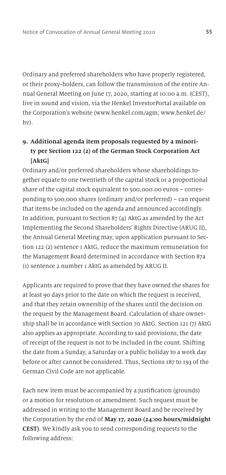Ordinary and preferred shareholders who have properly registered, or their proxy-holders, can follow the transmission of the entire Annual General Meeting on June 17, 2020, starting at 10:00 a.m. (CEST), live in sound and vision, via the Henkel InvestorPortal available on the Corporation's website (www.henkel.com/agm; www.henkel.de/ hv).

# **9. Additional agenda item proposals requested by a minority per Section 122 (2) of the German Stock Corporation Act [AktG]**

Ordinary and/or preferred shareholders whose shareholdings together equate to one twentieth of the capital stock or a proportional share of the capital stock equivalent to 500,000.00 euros – corresponding to 500,000 shares (ordinary and/or preferred) – can request that items be included on the agenda and announced accordingly. In addition, pursuant to Section 87 (4) AktG as amended by the Act Implementing the Second Shareholders' Rights Directive (ARUG II), the Annual General Meeting may, upon application pursuant to Section 122 (2) sentence 1 AktG, reduce the maximum remuneration for the Management Board determined in accordance with Section 87a (1) sentence 2 number 1 AktG as amended by ARUG II.

Applicants are required to prove that they have owned the shares for at least 90 days prior to the date on which the request is received, and that they retain ownership of the shares until the decision on the request by the Management Board. Calculation of share ownership shall be in accordance with Section 70 AktG. Section 121 (7) AktG also applies as appropriate. According to said provisions, the date of receipt of the request is not to be included in the count. Shifting the date from a Sunday, a Saturday or a public holiday to a work day before or after cannot be considered. Thus, Sections 187 to 193 of the German Civil Code are not applicable.

Each new item must be accompanied by a justification (grounds) or a motion for resolution or amendment. Such request must be addressed in writing to the Management Board and be received by the Corporation by the end of **May 17, 2020 (24:00 hours/midnight CEST)**. We kindly ask you to send corresponding requests to the following address: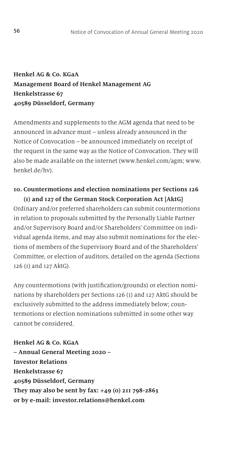# **Henkel AG & Co. KGaA Management Board of Henkel Management AG Henkelstrasse 67 40589 Düsseldorf, Germany**

Amendments and supplements to the AGM agenda that need to be announced in advance must – unless already announced in the Notice of Convocation – be announced immediately on receipt of the request in the same way as the Notice of Convocation. They will also be made available on the internet (www.henkel.com/agm; www. henkel.de/hv).

### **10. Countermotions and election nominations per Sections 126 (1) and 127 of the German Stock Corporation Act [AktG]**

Ordinary and/or preferred shareholders can submit countermotions in relation to proposals submitted by the Personally Liable Partner and/or Supervisory Board and/or Shareholders' Committee on individual agenda items, and may also submit nominations for the elections of members of the Supervisory Board and of the Shareholders' Committee, or election of auditors, detailed on the agenda (Sections 126 (1) and 127 AktG).

Any countermotions (with justification/grounds) or election nominations by shareholders per Sections 126 (1) and 127 AktG should be exclusively submitted to the address immediately below; countermotions or election nominations submitted in some other way cannot be considered.

**Henkel AG & Co. KGaA – Annual General Meeting 2020 – Investor Relations Henkelstrasse 67 40589 Düsseldorf, Germany They may also be sent by fax: +49 (0) 211 798-2863 or by e-mail: investor.relations@henkel.com**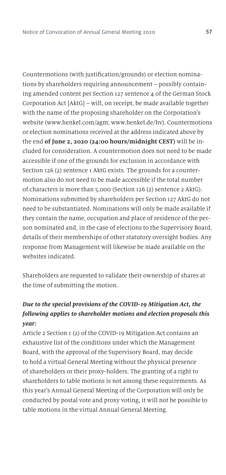Countermotions (with justification/grounds) or election nominations by shareholders requiring announcement – possibly containing amended content per Section 127 sentence 4 of the German Stock Corporation Act [AktG] – will, on receipt, be made available together with the name of the proposing shareholder on the Corporation's website (www.henkel.com/agm; www.henkel.de/hv). Countermotions or election nominations received at the address indicated above by the end **of June 2, 2020 (24:00 hours/midnight CEST)** will be included for consideration. A countermotion does not need to be made accessible if one of the grounds for exclusion in accordance with Section 126 (2) sentence 1 AktG exists. The grounds for a countermotion also do not need to be made accessible if the total number of characters is more than 5,000 (Section 126 (2) sentence 2 AktG). Nominations submitted by shareholders per Section 127 AktG do not need to be substantiated. Nominations will only be made available if they contain the name, occupation and place of residence of the person nominated and, in the case of elections to the Supervisory Board, details of their memberships of other statutory oversight bodies. Any response from Management will likewise be made available on the websites indicated.

Shareholders are requested to validate their ownership of shares at the time of submitting the motion.

# *Due to the special provisions of the COVID-19 Mitigation Act, the following applies to shareholder motions and election proposals this year:*

Article 2 Section 1 (2) of the COVID-19 Mitigation Act contains an exhaustive list of the conditions under which the Management Board, with the approval of the Supervisory Board, may decide to hold a virtual General Meeting without the physical presence of shareholders or their proxy-holders. The granting of a right to shareholders to table motions is not among these requirements. As this year's Annual General Meeting of the Corporation will only be conducted by postal vote and proxy voting, it will not be possible to table motions in the virtual Annual General Meeting.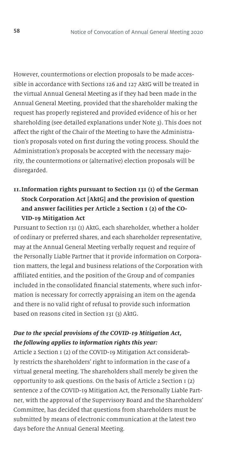However, countermotions or election proposals to be made accessible in accordance with Sections 126 and 127 AktG will be treated in the virtual Annual General Meeting as if they had been made in the Annual General Meeting, provided that the shareholder making the request has properly registered and provided evidence of his or her shareholding (see detailed explanations under Note 3). This does not affect the right of the Chair of the Meeting to have the Administration's proposals voted on first during the voting process. Should the Administration's proposals be accepted with the necessary majority, the countermotions or (alternative) election proposals will be disregarded.

# **11. Information rights pursuant to Section 131 (1) of the German Stock Corporation Act [AktG] and the provision of question and answer facilities per Article 2 Section 1 (2) of the CO-VID-19 Mitigation Act**

Pursuant to Section 131 (1) AktG, each shareholder, whether a holder of ordinary or preferred shares, and each shareholder representative, may at the Annual General Meeting verbally request and require of the Personally Liable Partner that it provide information on Corporation matters, the legal and business relations of the Corporation with affiliated entities, and the position of the Group and of companies included in the consolidated financial statements, where such information is necessary for correctly appraising an item on the agenda and there is no valid right of refusal to provide such information based on reasons cited in Section 131 (3) AktG.

### *Due to the special provisions of the COVID-19 Mitigation Act, the following applies to information rights this year:*

Article 2 Section 1 (2) of the COVID-19 Mitigation Act considerably restricts the shareholders' right to information in the case of a virtual general meeting. The shareholders shall merely be given the opportunity to ask questions. On the basis of Article 2 Section 1 (2) sentence 2 of the COVID-19 Mitigation Act, the Personally Liable Partner, with the approval of the Supervisory Board and the Shareholders' Committee, has decided that questions from shareholders must be submitted by means of electronic communication at the latest two days before the Annual General Meeting.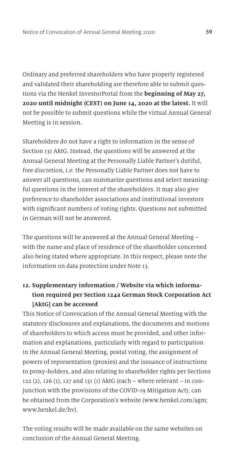Ordinary and preferred shareholders who have properly registered and validated their shareholding are therefore able to submit questions via the Henkel InvestorPortal from the **beginning of May 27, 2020 until midnight (CEST) on June 14, 2020 at the latest.** It will not be possible to submit questions while the virtual Annual General Meeting is in session.

Shareholders do not have a right to information in the sense of Section 131 AktG. Instead, the questions will be answered at the Annual General Meeting at the Personally Liable Partner's dutiful, free discretion, i.e. the Personally Liable Partner does not have to answer all questions, can summarize questions and select meaningful questions in the interest of the shareholders. It may also give preference to shareholder associations and institutional investors with significant numbers of voting rights. Questions not submitted in German will not be answered.

The questions will be answered at the Annual General Meeting – with the name and place of residence of the shareholder concerned also being stated where appropriate. In this respect, please note the information on data protection under Note 13.

# **12. Supplementary information / Website via which information required per Section 124a German Stock Corporation Act [AktG] can be accessed**

This Notice of Convocation of the Annual General Meeting with the statutory disclosures and explanations, the documents and motions of shareholders to which access must be provided, and other information and explanations, particularly with regard to participation in the Annual General Meeting, postal voting, the assignment of powers of representation (proxies) and the issuance of instructions to proxy-holders, and also relating to shareholder rights per Sections 122 (2), 126 (1), 127 and 131 (1) AktG (each – where relevant – in conjunction with the provisions of the COVID-19 Mitigation Act), can be obtained from the Corporation's website (www.henkel.com/agm; www.henkel.de/hv).

The voting results will be made available on the same websites on conclusion of the Annual General Meeting.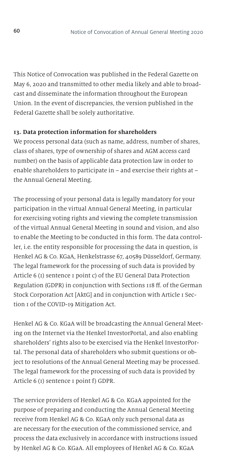This Notice of Convocation was published in the Federal Gazette on May 6, 2020 and transmitted to other media likely and able to broadcast and disseminate the information throughout the European Union. In the event of discrepancies, the version published in the Federal Gazette shall be solely authoritative.

#### **13. Data protection information for shareholders**

We process personal data (such as name, address, number of shares, class of shares, type of ownership of shares and AGM access card number) on the basis of applicable data protection law in order to enable shareholders to participate in – and exercise their rights at – the Annual General Meeting.

The processing of your personal data is legally mandatory for your participation in the virtual Annual General Meeting, in particular for exercising voting rights and viewing the complete transmission of the virtual Annual General Meeting in sound and vision, and also to enable the Meeting to be conducted in this form. The data controller, i.e. the entity responsible for processing the data in question, is Henkel AG & Co. KGaA, Henkelstrasse 67, 40589 Düsseldorf, Germany. The legal framework for the processing of such data is provided by Article 6 (1) sentence 1 point c) of the EU General Data Protection Regulation (GDPR) in conjunction with Sections 118 ff. of the German Stock Corporation Act [AktG] and in conjunction with Article 1 Section 1 of the COVID-19 Mitigation Act.

Henkel AG & Co. KGaA will be broadcasting the Annual General Meeting on the Internet via the Henkel InvestorPortal, and also enabling shareholders' rights also to be exercised via the Henkel InvestorPortal. The personal data of shareholders who submit questions or object to resolutions of the Annual General Meeting may be processed. The legal framework for the processing of such data is provided by Article 6 (1) sentence 1 point f) GDPR.

The service providers of Henkel AG & Co. KGaA appointed for the purpose of preparing and conducting the Annual General Meeting receive from Henkel AG & Co. KGaA only such personal data as are necessary for the execution of the commissioned service, and process the data exclusively in accordance with instructions issued by Henkel AG & Co. KGaA. All employees of Henkel AG & Co. KGaA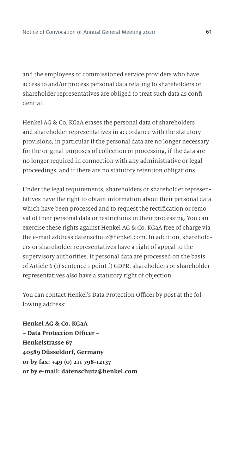and the employees of commissioned service providers who have access to and/or process personal data relating to shareholders or shareholder representatives are obliged to treat such data as confidential.

Henkel AG & Co. KGaA erases the personal data of shareholders and shareholder representatives in accordance with the statutory provisions, in particular if the personal data are no longer necessary for the original purposes of collection or processing, if the data are no longer required in connection with any administrative or legal proceedings, and if there are no statutory retention obligations.

Under the legal requirements, shareholders or shareholder representatives have the right to obtain information about their personal data which have been processed and to request the rectification or removal of their personal data or restrictions in their processing. You can exercise these rights against Henkel AG & Co. KGaA free of charge via the e-mail address datenschutz@henkel.com. In addition, shareholders or shareholder representatives have a right of appeal to the supervisory authorities. If personal data are processed on the basis of Article 6 (1) sentence 1 point f) GDPR, shareholders or shareholder representatives also have a statutory right of objection.

You can contact Henkel's Data Protection Officer by post at the following address:

**Henkel AG & Co. KGaA – Data Protection Officer – Henkelstrasse 67 40589 Düsseldorf, Germany or by fax: +49 (0) 211 798-12137 or by e-mail: datenschutz@henkel.com**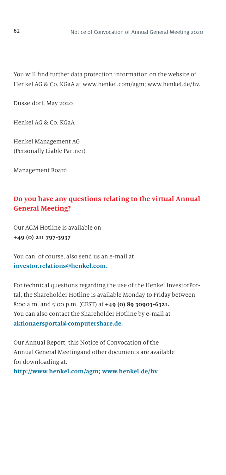You will find further data protection information on the website of Henkel AG & Co. KGaA at www.henkel.com/agm; www.henkel.de/hv.

Düsseldorf, May 2020

Henkel AG & Co. KGaA

Henkel Management AG (Personally Liable Partner)

Management Board

# **Do you have any questions relating to the virtual Annual General Meeting?**

Our AGM Hotline is available on **+49 (0) 211 797-3937**

You can, of course, also send us an e-mail at **investor.relations@henkel.com.**

For technical questions regarding the use of the Henkel InvestorPortal, the Shareholder Hotline is available Monday to Friday between 8:00 a.m. and 5:00 p.m. (CEST) at **+49 (0) 89 30903-6321.** You can also contact the Shareholder Hotline by e-mail at **aktionaersportal@computershare.de.**

Our Annual Report, this Notice of Convocation of the Annual General Meetingand other documents are available for downloading at:

**http://www.henkel.com/agm; www.henkel.de/hv**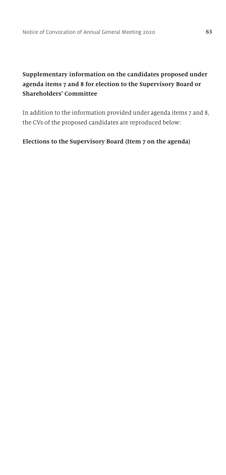# **Supplementary information on the candidates proposed under agenda items 7 and 8 for election to the Supervisory Board or Shareholders' Committee**

In addition to the information provided under agenda items 7 and 8, the CVs of the proposed candidates are reproduced below:

### **Elections to the Supervisory Board (Item 7 on the agenda)**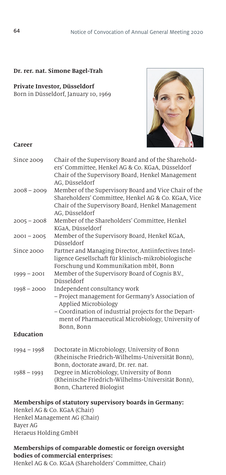#### **Dr. rer. nat. Simone Bagel-Trah**

#### **Private Investor, Düsseldorf**

Born in Düsseldorf, January 10, 1969



#### **Career**

| Since 2009    | Chair of the Supervisory Board and of the Sharehold-<br>ers' Committee, Henkel AG & Co. KGaA, Düsseldorf<br>Chair of the Supervisory Board, Henkel Management<br>AG. Düsseldorf                                                        |
|---------------|----------------------------------------------------------------------------------------------------------------------------------------------------------------------------------------------------------------------------------------|
| $2008 - 2009$ | Member of the Supervisory Board and Vice Chair of the<br>Shareholders' Committee, Henkel AG & Co. KGaA, Vice<br>Chair of the Supervisory Board, Henkel Management<br>AG, Düsseldorf                                                    |
| $2005 - 2008$ | Member of the Shareholders' Committee, Henkel<br>KGaA. Düsseldorf                                                                                                                                                                      |
| $200I - 2005$ | Member of the Supervisory Board, Henkel KGaA,<br>Düsseldorf                                                                                                                                                                            |
| Since 2000    | Partner and Managing Director, Antiinfectives Intel-<br>ligence Gesellschaft für klinisch-mikrobiologische<br>Forschung und Kommunikation mbH, Bonn                                                                                    |
| $1999 - 2001$ | Member of the Supervisory Board of Cognis B.V.,<br>Düsseldorf                                                                                                                                                                          |
| $1998 - 2000$ | Independent consultancy work<br>- Project management for Germany's Association of<br>Applied Microbiology<br>- Coordination of industrial projects for the Depart-<br>ment of Pharmaceutical Microbiology, University of<br>Bonn, Bonn |
| Education     |                                                                                                                                                                                                                                        |
| $1994 - 1998$ | Doctorate in Microbiology, University of Bonn<br>(Rheinische Friedrich-Wilhelms-Universität Bonn).<br>Bonn, doctorate award, Dr. rer. nat.                                                                                             |
| $1988 - 1993$ | Degree in Microbiology, University of Bonn<br>(Rheinische Friedrich-Wilhelms-Universität Bonn),<br>Bonn, Chartered Biologist                                                                                                           |

#### **Memberships of statutory supervisory boards in Germany:**

Henkel AG & Co. KGaA (Chair) Henkel Management AG (Chair) Bayer AG Heraeus Holding GmbH

#### **Memberships of comparable domestic or foreign oversight bodies of commercial enterprises:**

Henkel AG & Co. KGaA (Shareholders' Committee, Chair)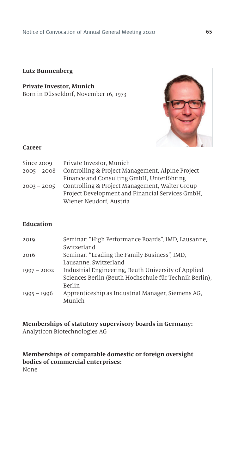#### **Lutz Bunnenberg**

#### **Private Investor, Munich** Born in Düsseldorf, November 16, 1973



#### **Career**

| Since 2009    | Private Investor, Munich                         |
|---------------|--------------------------------------------------|
| $2005 - 2008$ | Controlling & Project Management, Alpine Project |
|               | Finance and Consulting GmbH, Unterföhring        |
| $2003 - 2005$ | Controlling & Project Management, Walter Group   |
|               | Project Development and Financial Services GmbH. |
|               | Wiener Neudorf, Austria                          |

#### **Education**

| Seminar: "High Performance Boards", IMD, Lausanne,<br>Switzerland |
|-------------------------------------------------------------------|
| Seminar: "Leading the Family Business", IMD,                      |
| Lausanne, Switzerland                                             |
| Industrial Engineering, Beuth University of Applied               |
| Sciences Berlin (Beuth Hochschule für Technik Berlin),            |
| Berlin                                                            |
| Apprenticeship as Industrial Manager, Siemens AG,                 |
| Munich                                                            |
|                                                                   |

# **Memberships of statutory supervisory boards in Germany:**

Analyticon Biotechnologies AG

#### **Memberships of comparable domestic or foreign oversight bodies of commercial enterprises:** None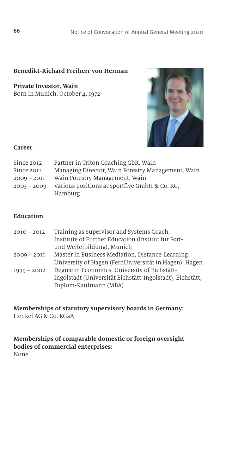#### **Benedikt-Richard Freiherr von Herman**

**Private Investor, Wain** Born in Munich, October 4, 1972



#### **Career**

| Since 2012    | Partner in Triton Coaching GbR, Wain              |
|---------------|---------------------------------------------------|
| Since 2011    | Managing Director, Wain Forestry Management, Wain |
| $2009 - 2011$ | Wain Forestry Management, Wain                    |
| $2003 - 2009$ | Various positions at Sportfive GmbH & Co. KG.     |
|               | Hamburg                                           |

### **Education**

| $2010 - 2012$ | Training as Supervisor and Systems Coach,                 |
|---------------|-----------------------------------------------------------|
|               | Institute of Further Education (Institut für Fort-        |
|               | und Weiterbildung), Munich                                |
| $2009 - 2011$ | Master in Business Mediation, Distance-Learning           |
|               | University of Hagen (FernUniversität in Hagen), Hagen     |
| $1999 - 2002$ | Degree in Economics, University of Eichstätt-             |
|               | Ingolstadt (Universität Eichstätt-Ingolstadt), Eichstätt, |
|               | Diplom-Kaufmann (MBA)                                     |
|               |                                                           |

**Memberships of statutory supervisory boards in Germany:** Henkel AG & Co. KGaA

**Memberships of comparable domestic or foreign oversight bodies of commercial enterprises:**  None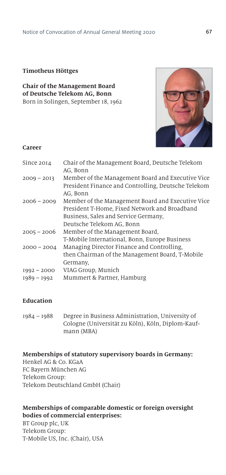#### **Timotheus Höttges**

**Chair of the Management Board of Deutsche Telekom AG, Bonn** Born in Solingen, September 18, 1962



#### **Career**

| Since 2014    | Chair of the Management Board, Deutsche Telekom<br>AG, Bonn                                              |
|---------------|----------------------------------------------------------------------------------------------------------|
| $2009 - 2013$ | Member of the Management Board and Executive Vice<br>President Finance and Controlling, Deutsche Telekom |
|               | AG, Bonn                                                                                                 |
| $2006 - 2009$ | Member of the Management Board and Executive Vice                                                        |
|               | President T-Home, Fixed Network and Broadband                                                            |
|               | Business, Sales and Service Germany,                                                                     |
|               | Deutsche Telekom AG, Bonn                                                                                |
| $2005 - 2006$ | Member of the Management Board,                                                                          |
|               | T-Mobile International, Bonn, Europe Business                                                            |
| $2000 - 2004$ | Managing Director Finance and Controlling,                                                               |
|               | then Chairman of the Management Board, T-Mobile                                                          |
|               | Germany,                                                                                                 |
| $1992 - 2000$ | VIAG Group, Munich                                                                                       |
| $1989 - 1992$ | Mummert & Partner, Hamburg                                                                               |
|               |                                                                                                          |

### **Education**

1984 – 1988 Degree in Business Administration, University of Cologne (Universität zu Köln), Köln, Diplom-Kaufmann (MBA)

#### **Memberships of statutory supervisory boards in Germany:**

Henkel AG & Co. KGaA FC Bayern München AG Telekom Group: Telekom Deutschland GmbH (Chair)

### **Memberships of comparable domestic or foreign oversight bodies of commercial enterprises:**

BT Group plc, UK Telekom Group: T-Mobile US, Inc. (Chair), USA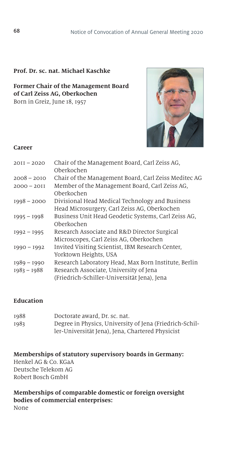#### **Prof. Dr. sc. nat. Michael Kaschke**

#### **Former Chair of the Management Board of Carl Zeiss AG, Oberkochen** Born in Greiz, June 18, 1957



#### **Career**

| $20II - 2020$                  | Chair of the Management Board, Carl Zeiss AG,<br>Oberkochen                                                                                   |
|--------------------------------|-----------------------------------------------------------------------------------------------------------------------------------------------|
| $2008 - 2010$                  | Chair of the Management Board, Carl Zeiss Meditec AG                                                                                          |
| $2000 - 2011$                  | Member of the Management Board, Carl Zeiss AG,<br>Oberkochen                                                                                  |
| $1998 - 2000$                  | Divisional Head Medical Technology and Business<br>Head Microsurgery, Carl Zeiss AG, Oberkochen                                               |
| $1995 - 1998$                  | Business Unit Head Geodetic Systems, Carl Zeiss AG,<br>Oberkochen                                                                             |
| $1992 - 1995$                  | Research Associate and R&D Director Surgical<br>Microscopes, Carl Zeiss AG, Oberkochen                                                        |
| $1990 - 1992$                  | Invited Visiting Scientist, IBM Research Center,<br>Yorktown Heights, USA                                                                     |
| $1989 - 1990$<br>$1983 - 1988$ | Research Laboratory Head, Max Born Institute, Berlin<br>Research Associate, University of Jena<br>(Friedrich-Schiller-Universität Jena), Jena |
|                                |                                                                                                                                               |

### **Education**

| 1988 | Doctorate award, Dr. sc. nat.                           |
|------|---------------------------------------------------------|
| 1983 | Degree in Physics, University of Jena (Friedrich-Schil- |
|      | ler-Universität Jena), Jena, Chartered Physicist        |

**Memberships of statutory supervisory boards in Germany:** Henkel AG & Co. KGaA Deutsche Telekom AG Robert Bosch GmbH

**Memberships of comparable domestic or foreign oversight bodies of commercial enterprises:**  None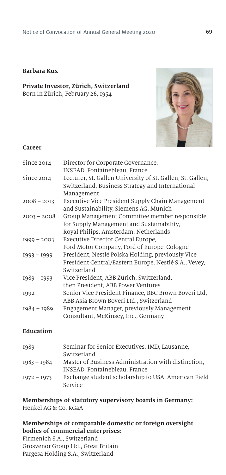#### **Barbara Kux**

#### **Private Investor, Zürich, Switzerland** Born in Zürich, February 26, 1954



#### **Career**

| Since 2014    | Director for Corporate Governance,<br>INSEAD, Fontainebleau, France                                                                 |
|---------------|-------------------------------------------------------------------------------------------------------------------------------------|
| Since 2014    | Lecturer, St. Gallen University of St. Gallen, St. Gallen,<br>Switzerland, Business Strategy and International<br>Management        |
| $2008 - 2013$ | Executive Vice President Supply Chain Management<br>and Sustainability, Siemens AG, Munich                                          |
| $2003 - 2008$ | Group Management Committee member responsible<br>for Supply Management and Sustainability,<br>Royal Philips, Amsterdam, Netherlands |
| $1999 - 2003$ | Executive Director Central Europe,                                                                                                  |
|               | Ford Motor Company, Ford of Europe, Cologne                                                                                         |
| $1993 - 1999$ | President, Nestlé Polska Holding, previously Vice<br>President Central/Eastern Europe, Nestlé S.A., Vevey,<br>Switzerland           |
| $1989 - 1993$ | Vice President, ABB Zürich, Switzerland,<br>then President, ABB Power Ventures                                                      |
| 1992          | Senior Vice President Finance, BBC Brown Boveri Ltd,<br>ABB Asia Brown Boveri Ltd., Switzerland                                     |
| $1984 - 1989$ | Engagement Manager, previously Management<br>Consultant, McKinsey, Inc., Germany                                                    |

### **Education**

| 1989          | Seminar for Senior Executives, IMD, Lausanne,       |
|---------------|-----------------------------------------------------|
|               | Switzerland                                         |
| $1983 - 1984$ | Master of Business Administration with distinction. |
|               | INSEAD, Fontainebleau, France                       |
| $1972 - 1973$ | Exchange student scholarship to USA, American Field |
|               | Service                                             |

# **Memberships of statutory supervisory boards in Germany:**

Henkel AG & Co. KGaA

### **Memberships of comparable domestic or foreign oversight bodies of commercial enterprises:**

Firmenich S.A., Switzerland Grosvenor Group Ltd., Great Britain Pargesa Holding S.A., Switzerland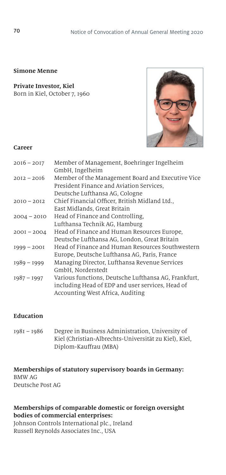### **Simone Menne**

**Private Investor, Kiel** Born in Kiel, October 7, 1960



#### **Career**

| Member of Management, Boehringer Ingelheim<br>GmbH, Ingelheim                                                                                |
|----------------------------------------------------------------------------------------------------------------------------------------------|
| Member of the Management Board and Executive Vice<br>President Finance and Aviation Services,                                                |
| Deutsche Lufthansa AG, Cologne                                                                                                               |
| Chief Financial Officer, British Midland Ltd.,                                                                                               |
| East Midlands, Great Britain                                                                                                                 |
| Head of Finance and Controlling,                                                                                                             |
| Lufthansa Technik AG, Hamburg                                                                                                                |
| Head of Finance and Human Resources Europe,                                                                                                  |
| Deutsche Lufthansa AG, London, Great Britain                                                                                                 |
| Head of Finance and Human Resources Southwestern                                                                                             |
| Europe, Deutsche Lufthansa AG, Paris, France                                                                                                 |
| Managing Director, Lufthansa Revenue Services                                                                                                |
| GmbH, Norderstedt                                                                                                                            |
| Various functions, Deutsche Lufthansa AG, Frankfurt,<br>including Head of EDP and user services, Head of<br>Accounting West Africa, Auditing |
|                                                                                                                                              |

#### **Education**

| $1981 - 1986$ | Degree in Business Administration, University of      |
|---------------|-------------------------------------------------------|
|               | Kiel (Christian-Albrechts-Universität zu Kiel), Kiel, |
|               | Diplom-Kauffrau (MBA)                                 |

#### **Memberships of statutory supervisory boards in Germany:** BMW AG Deutsche Post AG

#### **Memberships of comparable domestic or foreign oversight bodies of commercial enterprises:**

Johnson Controls International plc., Ireland Russell Reynolds Associates Inc., USA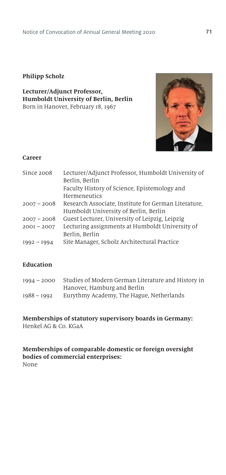#### **Philipp Scholz**

**Lecturer/Adjunct Professor, Humboldt University of Berlin, Berlin** Born in Hanover, February 18, 1967



### **Career**

| Since 2008    | Lecturer/Adjunct Professor, Humboldt University of   |
|---------------|------------------------------------------------------|
|               | Berlin, Berlin                                       |
|               | Faculty History of Science, Epistemology and         |
|               | Hermeneutics                                         |
| $2007 - 2008$ | Research Associate, Institute for German Literature, |
|               | Humboldt University of Berlin, Berlin                |
| $2007 - 2008$ | Guest Lecturer, University of Leipzig, Leipzig       |
| $200I - 2007$ | Lecturing assignments at Humboldt University of      |
|               | Berlin, Berlin                                       |
| $1992 - 1994$ | Site Manager, Scholz Architectural Practice          |
|               |                                                      |

#### **Education**

| $1994 - 2000$ | Studies of Modern German Literature and History in |
|---------------|----------------------------------------------------|
|               | Hanover, Hamburg and Berlin                        |
| 1988 – 1992   | Eurythmy Academy, The Hague, Netherlands           |

#### **Memberships of statutory supervisory boards in Germany:** Henkel AG & Co. KGaA

#### **Memberships of comparable domestic or foreign oversight bodies of commercial enterprises:**  None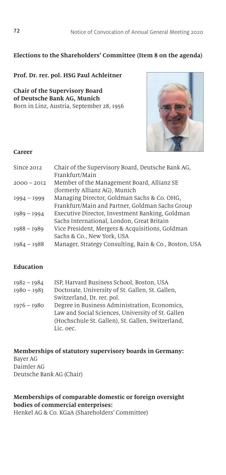### **Elections to the Shareholders' Committee (Item 8 on the agenda)**

#### **Prof. Dr. rer. pol. HSG Paul Achleitner**

**Chair of the Supervisory Board of Deutsche Bank AG, Munich** Born in Linz, Austria, September 28, 1956



#### **Career**

| Since 2012    | Chair of the Supervisory Board, Deutsche Bank AG,     |
|---------------|-------------------------------------------------------|
|               | Frankfurt/Main                                        |
| $2000 - 2012$ | Member of the Management Board, Allianz SE            |
|               | (formerly Allianz AG), Munich                         |
| $1994 - 1999$ | Managing Director, Goldman Sachs & Co. OHG,           |
|               | Frankfurt/Main and Partner, Goldman Sachs Group       |
| $1989 - 1994$ | Executive Director, Investment Banking, Goldman       |
|               | Sachs International, London, Great Britain            |
| $1988 - 1989$ | Vice President, Mergers & Acquisitions, Goldman       |
|               | Sachs & Co., New York, USA                            |
| $1984 - 1988$ | Manager, Strategy Consulting, Bain & Co., Boston, USA |

#### **Education**

| 1982 - 1984   | ISP, Harvard Business School, Boston, USA                                                          |
|---------------|----------------------------------------------------------------------------------------------------|
| $1980 - 1983$ | Doctorate, University of St. Gallen, St. Gallen,                                                   |
|               | Switzerland, Dr. rer. pol.                                                                         |
| 1976 - 1980   | Degree in Business Administration, Economics,<br>Law and Social Sciences, University of St. Gallen |
|               | (Hochschule St. Gallen), St. Gallen, Switzerland,                                                  |
|               | Lic. oec.                                                                                          |

#### **Memberships of statutory supervisory boards in Germany:**  Bayer AG Daimler AG Deutsche Bank AG (Chair)

### **Memberships of comparable domestic or foreign oversight bodies of commercial enterprises:**

Henkel AG & Co. KGaA (Shareholders' Committee)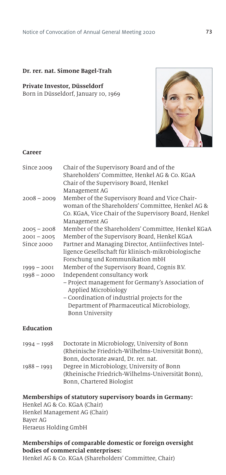## **Dr. rer. nat. Simone Bagel-Trah**

#### **Private Investor, Düsseldorf** Born in Düsseldorf, January 10, 1969



#### **Career**

| Since 2009    | Chair of the Supervisory Board and of the<br>Shareholders' Committee, Henkel AG & Co. KGaA<br>Chair of the Supervisory Board, Henkel<br>Management AG                          |
|---------------|--------------------------------------------------------------------------------------------------------------------------------------------------------------------------------|
| $2008 - 2009$ | Member of the Supervisory Board and Vice Chair-<br>woman of the Shareholders' Committee, Henkel AG &<br>Co. KGaA, Vice Chair of the Supervisory Board, Henkel<br>Management AG |
| $2005 - 2008$ | Member of the Shareholders' Committee, Henkel KGaA                                                                                                                             |
| $200I - 2005$ | Member of the Supervisory Board, Henkel KGaA                                                                                                                                   |
| Since 2000    | Partner and Managing Director, Antiinfectives Intel-                                                                                                                           |
|               | ligence Gesellschaft für klinisch-mikrobiologische                                                                                                                             |
|               | Forschung und Kommunikation mbH                                                                                                                                                |
| $1999 - 2001$ | Member of the Supervisory Board, Cognis B.V.                                                                                                                                   |
| $1998 - 2000$ | Independent consultancy work                                                                                                                                                   |
|               | - Project management for Germany's Association of<br>Applied Microbiology                                                                                                      |
|               | - Coordination of industrial projects for the                                                                                                                                  |
|               | Department of Pharmaceutical Microbiology,<br><b>Bonn University</b>                                                                                                           |
| Education     |                                                                                                                                                                                |

| $1994 - 1998$ | Doctorate in Microbiology, University of Bonn     |
|---------------|---------------------------------------------------|
|               | (Rheinische Friedrich-Wilhelms-Universität Bonn), |
|               | Bonn, doctorate award, Dr. rer. nat.              |
| 1988 - 1993   | Degree in Microbiology, University of Bonn        |
|               | (Rheinische Friedrich-Wilhelms-Universität Bonn). |
|               | Bonn, Chartered Biologist                         |
|               |                                                   |

## **Memberships of statutory supervisory boards in Germany:**

Henkel AG & Co. KGaA (Chair) Henkel Management AG (Chair) Bayer AG Heraeus Holding GmbH

# **Memberships of comparable domestic or foreign oversight bodies of commercial enterprises:**

Henkel AG & Co. KGaA (Shareholders' Committee, Chair)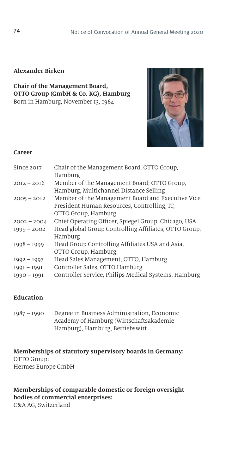## **Alexander Birken**

**Chair of the Management Board, OTTO Group (GmbH & Co. KG), Hamburg** Born in Hamburg, November 13, 1964



#### **Career**

| Since 2017    | Chair of the Management Board, OTTO Group,            |
|---------------|-------------------------------------------------------|
|               | Hamburg                                               |
| $2012 - 2016$ | Member of the Management Board, OTTO Group,           |
|               | Hamburg, Multichannel Distance Selling                |
| $2005 - 2012$ | Member of the Management Board and Executive Vice     |
|               | President Human Resources, Controlling, IT.           |
|               | OTTO Group, Hamburg                                   |
| $2002 - 2004$ | Chief Operating Officer, Spiegel Group, Chicago, USA  |
| $1999 - 2002$ | Head global Group Controlling Affiliates, OTTO Group, |
|               | Hamburg                                               |
| $1998 - 1999$ | Head Group Controlling Affiliates USA and Asia,       |
|               | OTTO Group, Hamburg                                   |
| $1992 - 1997$ | Head Sales Management, OTTO, Hamburg                  |
| $1991 - 1991$ | Controller Sales, OTTO Hamburg                        |
| $1990 - 1991$ | Controller Service, Philips Medical Systems, Hamburg  |
|               |                                                       |

## **Education**

1987 – 1990 Degree in Business Administration, Economic Academy of Hamburg (Wirtschaftsakademie Hamburg), Hamburg, Betriebswirt

**Memberships of statutory supervisory boards in Germany:** OTTO Group: Hermes Europe GmbH

# **Memberships of comparable domestic or foreign oversight bodies of commercial enterprises:**

C&A AG, Switzerland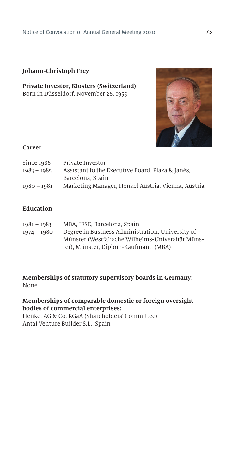## **Johann-Christoph Frey**

## **Private Investor, Klosters (Switzerland)** Born in Düsseldorf, November 26, 1955



#### **Career**

| Private Investor                                   |
|----------------------------------------------------|
| Assistant to the Executive Board, Plaza & Janés,   |
| Barcelona, Spain                                   |
| Marketing Manager, Henkel Austria, Vienna, Austria |
|                                                    |

## **Education**

| $1981 - 1983$ | MBA, IESE, Barcelona, Spain                      |
|---------------|--------------------------------------------------|
| 1974 - 1980   | Degree in Business Administration, University of |
|               | Münster (Westfälische Wilhelms-Universität Müns- |
|               | ter), Münster, Diplom-Kaufmann (MBA)             |

**Memberships of statutory supervisory boards in Germany:** None

# **Memberships of comparable domestic or foreign oversight bodies of commercial enterprises:**

Henkel AG & Co. KGaA (Shareholders' Committee) Antai Venture Builder S.L., Spain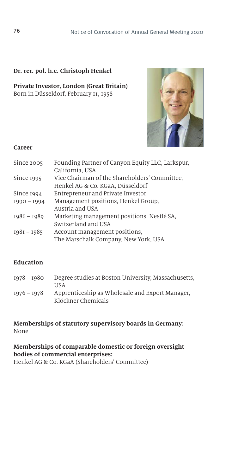## **Dr. rer. pol. h.c. Christoph Henkel**

**Private Investor, London (Great Britain)** Born in Düsseldorf, February 11, 1958



#### **Career**

| Since 2005    | Founding Partner of Canyon Equity LLC, Larkspur,<br>California, USA               |
|---------------|-----------------------------------------------------------------------------------|
| Since 1995    | Vice Chairman of the Shareholders' Committee,<br>Henkel AG & Co. KGaA, Düsseldorf |
| Since $1994$  | Entrepreneur and Private Investor                                                 |
| $1990 - 1994$ | Management positions, Henkel Group,                                               |
|               | Austria and USA                                                                   |
| $1986 - 1989$ | Marketing management positions, Nestlé SA,                                        |
|               | Switzerland and USA                                                               |
| $1981 - 1985$ | Account management positions,<br>The Marschalk Company, New York, USA             |

# **Education**

| $1978 - 1980$ | Degree studies at Boston University, Massachusetts, |
|---------------|-----------------------------------------------------|
|               | <b>TISA</b>                                         |
| $1976 - 1978$ | Apprenticeship as Wholesale and Export Manager.     |
|               | Klöckner Chemicals                                  |

## **Memberships of statutory supervisory boards in Germany:** None

**Memberships of comparable domestic or foreign oversight bodies of commercial enterprises:**  Henkel AG & Co. KGaA (Shareholders' Committee)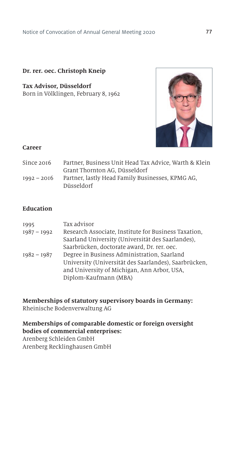## **Dr. rer. 0ec. Christoph Kneip**

**Tax Advisor, Düsseldorf** Born in Völklingen, February 8, 1962



#### **Career**

| Since 2016    | Partner, Business Unit Head Tax Advice, Warth & Klein |
|---------------|-------------------------------------------------------|
|               | Grant Thornton AG. Düsseldorf                         |
| $1992 - 2016$ | Partner, lastly Head Family Businesses, KPMG AG.      |
|               | Düsseldorf                                            |

# **Education**

| 1995          | Tax advisor                                           |
|---------------|-------------------------------------------------------|
| $1987 - 1992$ | Research Associate, Institute for Business Taxation,  |
|               | Saarland University (Universität des Saarlandes).     |
|               | Saarbrücken, doctorate award, Dr. rer. oec.           |
| $1982 - 1987$ | Degree in Business Administration, Saarland           |
|               | University (Universität des Saarlandes), Saarbrücken, |
|               | and University of Michigan, Ann Arbor, USA,           |
|               | Diplom-Kaufmann (MBA)                                 |
|               |                                                       |

**Memberships of statutory supervisory boards in Germany:** Rheinische Bodenverwaltung AG

## **Memberships of comparable domestic or foreign oversight bodies of commercial enterprises:**

Arenberg Schleiden GmbH Arenberg Recklinghausen GmbH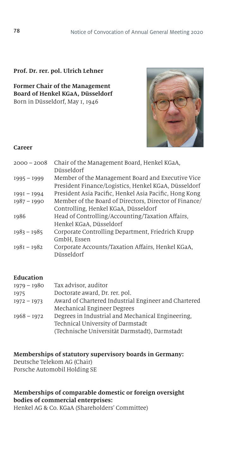## **Prof. Dr. rer. pol. Ulrich Lehner**

**Former Chair of the Management Board of Henkel KGaA, Düsseldorf** Born in Düsseldorf, May 1, 1946



#### **Career**

| $2000 - 2008$ | Chair of the Management Board, Henkel KGaA,            |
|---------------|--------------------------------------------------------|
|               | Düsseldorf                                             |
| $1995 - 1999$ | Member of the Management Board and Executive Vice      |
|               | President Finance/Logistics, Henkel KGaA, Düsseldorf   |
| $1991 - 1994$ | President Asia Pacific, Henkel Asia Pacific, Hong Kong |
| $1987 - 1990$ | Member of the Board of Directors, Director of Finance/ |
|               | Controlling, Henkel KGaA, Düsseldorf                   |
| 1986          | Head of Controlling/Accounting/Taxation Affairs,       |
|               | Henkel KGaA, Düsseldorf                                |
| $1983 - 1985$ | Corporate Controlling Department, Friedrich Krupp      |
|               | GmbH, Essen                                            |
| $1981 - 1982$ | Corporate Accounts/Taxation Affairs, Henkel KGaA,      |
|               | Düsseldorf                                             |
|               |                                                        |

## **Education**

| Award of Chartered Industrial Engineer and Chartered |
|------------------------------------------------------|
|                                                      |
| Degrees in Industrial and Mechanical Engineering.    |
|                                                      |
|                                                      |
|                                                      |

**Memberships of statutory supervisory boards in Germany:** Deutsche Telekom AG (Chair) Porsche Automobil Holding SE

# **Memberships of comparable domestic or foreign oversight bodies of commercial enterprises:**

Henkel AG & Co. KGaA (Shareholders' Committee)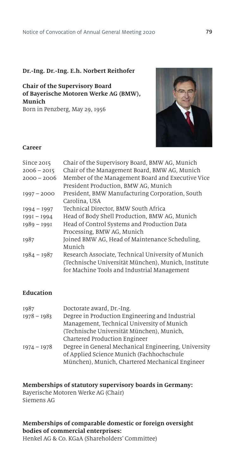#### **Dr.-Ing. Dr.-Ing. E.h. Norbert Reithofer**

**Chair of the Supervisory Board of Bayerische Motoren Werke AG (BMW), Munich** Born in Penzberg, May 29, 1956



#### **Career**

| Since 2015    | Chair of the Supervisory Board, BMW AG, Munich      |
|---------------|-----------------------------------------------------|
| $2006 - 2015$ | Chair of the Management Board, BMW AG, Munich       |
| $2000 - 2006$ | Member of the Management Board and Executive Vice   |
|               | President Production, BMW AG, Munich                |
| $1997 - 2000$ | President, BMW Manufacturing Corporation, South     |
|               | Carolina. USA                                       |
| $1994 - 1997$ | Technical Director, BMW South Africa                |
| $1991 - 1994$ | Head of Body Shell Production, BMW AG, Munich       |
| $1989 - 1991$ | Head of Control Systems and Production Data         |
|               | Processing, BMW AG, Munich                          |
| 1987          | Joined BMW AG, Head of Maintenance Scheduling,      |
|               | Munich                                              |
| $1984 - 1987$ | Research Associate, Technical University of Munich  |
|               | (Technische Universität München), Munich, Institute |
|               | for Machine Tools and Industrial Management         |
|               |                                                     |

# **Education**

| 1987<br>$1978 - 1983$ | Doctorate award, Dr.-Ing.<br>Degree in Production Engineering and Industrial<br>Management, Technical University of Munich                           |
|-----------------------|------------------------------------------------------------------------------------------------------------------------------------------------------|
|                       | (Technische Universität München), Munich,<br>Chartered Production Engineer                                                                           |
| $1974 - 1978$         | Degree in General Mechanical Engineering, University<br>of Applied Science Munich (Fachhochschule<br>München), Munich, Chartered Mechanical Engineer |

#### **Memberships of statutory supervisory boards in Germany:**

Bayerische Motoren Werke AG (Chair) Siemens AG

# **Memberships of comparable domestic or foreign oversight bodies of commercial enterprises:**

Henkel AG & Co. KGaA (Shareholders' Committee)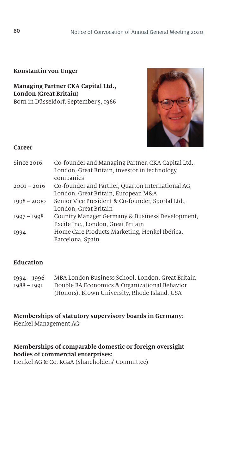## **Konstantin von Unger**

**Managing Partner CKA Capital Ltd., London (Great Britain)** Born in Düsseldorf, September 5, 1966



#### **Career**

| Since 2016    | Co-founder and Managing Partner, CKA Capital Ltd.,<br>London, Great Britain, investor in technology<br>companies |
|---------------|------------------------------------------------------------------------------------------------------------------|
| $200I - 20I6$ | Co-founder and Partner, Quarton International AG,                                                                |
|               | London, Great Britain, European M&A                                                                              |
| $1998 - 2000$ | Senior Vice President & Co-founder, Sportal Ltd.,                                                                |
|               | London, Great Britain                                                                                            |
| $1997 - 1998$ | Country Manager Germany & Business Development,                                                                  |
|               | Excite Inc., London, Great Britain                                                                               |
| 1994          | Home Care Products Marketing, Henkel Ibérica,                                                                    |
|               | Barcelona, Spain                                                                                                 |

## **Education**

| $1994 - 1996$ | MBA London Business School, London, Great Britain |
|---------------|---------------------------------------------------|
| $1988 - 1991$ | Double BA Economics & Organizational Behavior     |
|               | (Honors), Brown University, Rhode Island, USA     |

#### **Memberships of statutory supervisory boards in Germany:** Henkel Management AG

## **Memberships of comparable domestic or foreign oversight bodies of commercial enterprises:** Henkel AG & Co. KGaA (Shareholders' Committee)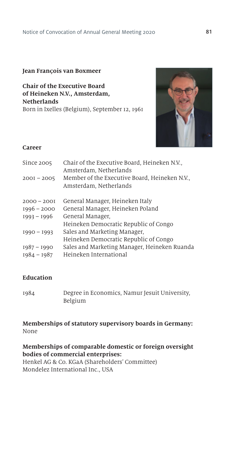## **Jean FranÇois van Boxmeer**

**Chair of the Executive Board of Heineken N.V., Amsterdam, Netherlands** Born in Ixelles (Belgium), September 12, 1961



#### **Career**

| Chair of the Executive Board, Heineken N.V.,<br>Amsterdam, Netherlands  |
|-------------------------------------------------------------------------|
| Member of the Executive Board, Heineken N.V.,<br>Amsterdam, Netherlands |
| General Manager, Heineken Italy                                         |
| General Manager, Heineken Poland                                        |
| General Manager,                                                        |
| Heineken Democratic Republic of Congo                                   |
| Sales and Marketing Manager,                                            |
| Heineken Democratic Republic of Congo                                   |
| Sales and Marketing Manager, Heineken Ruanda                            |
| Heineken International                                                  |
|                                                                         |

## **Education**

| 1984 | Degree in Economics, Namur Jesuit University, |
|------|-----------------------------------------------|
|      | Belgium                                       |

## **Memberships of statutory supervisory boards in Germany:** None

**Memberships of comparable domestic or foreign oversight bodies of commercial enterprises:**  Henkel AG & Co. KGaA (Shareholders' Committee) Mondelez International Inc., USA